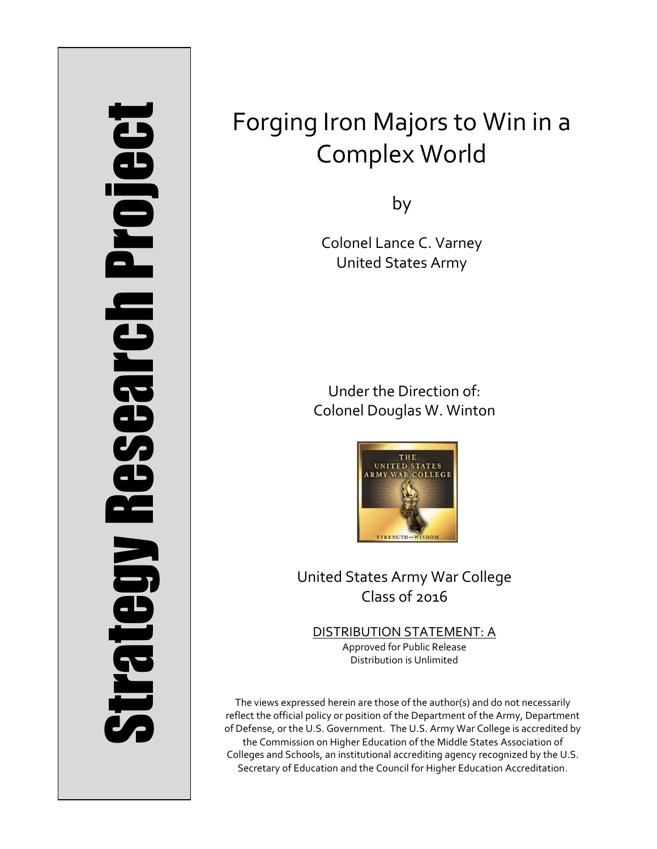# Strategy Research Project **Strategy Research Project**

# Forging Iron Majors to Win in a Complex World

by

Colonel Lance C. Varney United States Army

Under the Direction of: Colonel Douglas W. Winton



United States Army War College Class of 2016

DISTRIBUTION STATEMENT: A Approved for Public Release Distribution is Unlimited

The views expressed herein are those of the author(s) and do not necessarily reflect the official policy or position of the Department of the Army, Department of Defense, or the U.S. Government. The U.S. Army War College is accredited by the Commission on Higher Education of the Middle States Association of Colleges and Schools, an institutional accrediting agency recognized by the U.S. Secretary of Education and the Council for Higher Education Accreditation.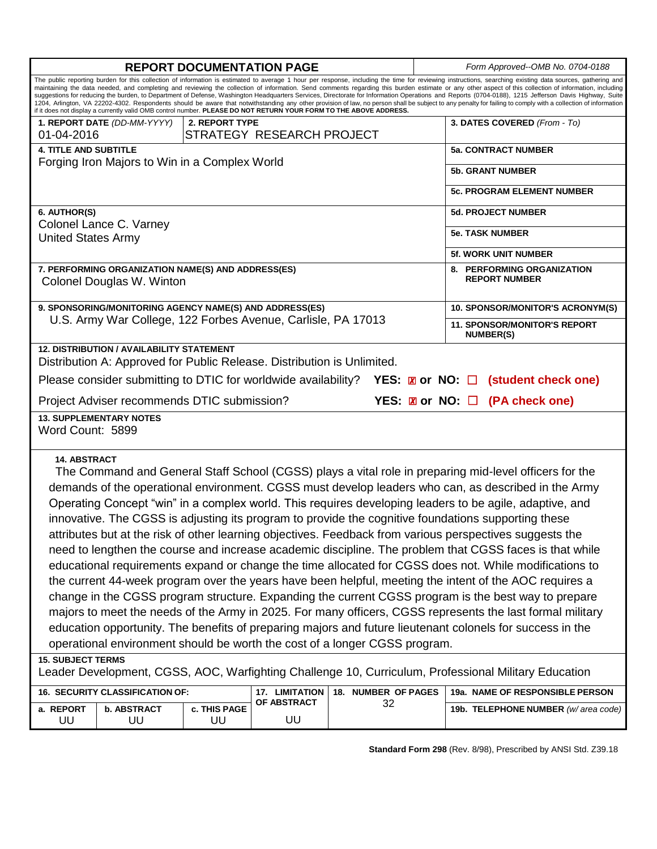| <b>REPORT DOCUMENTATION PAGE</b>                                                                                                                                                                                                                                                                                                                                                                                                                                                                                                                                                                                                                                                                                                                                                                                                                                                                                                                                                                                                                                                                                                                                                                                                                                                                                 |                                                             |                                     |                           |                     |  | Form Approved--OMB No. 0704-0188                        |  |
|------------------------------------------------------------------------------------------------------------------------------------------------------------------------------------------------------------------------------------------------------------------------------------------------------------------------------------------------------------------------------------------------------------------------------------------------------------------------------------------------------------------------------------------------------------------------------------------------------------------------------------------------------------------------------------------------------------------------------------------------------------------------------------------------------------------------------------------------------------------------------------------------------------------------------------------------------------------------------------------------------------------------------------------------------------------------------------------------------------------------------------------------------------------------------------------------------------------------------------------------------------------------------------------------------------------|-------------------------------------------------------------|-------------------------------------|---------------------------|---------------------|--|---------------------------------------------------------|--|
| The public reporting burden for this collection of information is estimated to average 1 hour per response, including the time for reviewing instructions, searching existing data sources, gathering and<br>maintaining the data needed, and completing and reviewing the collection of information. Send comments regarding this burden estimate or any other aspect of this collection of information, including<br>suggestions for reducing the burden, to Department of Defense, Washington Headquarters Services, Directorate for Information Operations and Reports (0704-0188), 1215 Jefferson Davis Highway, Suite<br>1204, Arlington, VA 22202-4302. Respondents should be aware that notwithstanding any other provision of law, no person shall be subject to any penalty for failing to comply with a collection of information<br>if it does not display a currently valid OMB control number. PLEASE DO NOT RETURN YOUR FORM TO THE ABOVE ADDRESS.                                                                                                                                                                                                                                                                                                                                                |                                                             |                                     |                           |                     |  |                                                         |  |
|                                                                                                                                                                                                                                                                                                                                                                                                                                                                                                                                                                                                                                                                                                                                                                                                                                                                                                                                                                                                                                                                                                                                                                                                                                                                                                                  | 1. REPORT DATE (DD-MM-YYYY)<br>2. REPORT TYPE<br>01-04-2016 |                                     | STRATEGY RESEARCH PROJECT |                     |  | 3. DATES COVERED (From - To)                            |  |
| <b>4. TITLE AND SUBTITLE</b>                                                                                                                                                                                                                                                                                                                                                                                                                                                                                                                                                                                                                                                                                                                                                                                                                                                                                                                                                                                                                                                                                                                                                                                                                                                                                     |                                                             |                                     |                           |                     |  | <b>5a. CONTRACT NUMBER</b>                              |  |
| Forging Iron Majors to Win in a Complex World                                                                                                                                                                                                                                                                                                                                                                                                                                                                                                                                                                                                                                                                                                                                                                                                                                                                                                                                                                                                                                                                                                                                                                                                                                                                    |                                                             |                                     |                           |                     |  | <b>5b. GRANT NUMBER</b>                                 |  |
|                                                                                                                                                                                                                                                                                                                                                                                                                                                                                                                                                                                                                                                                                                                                                                                                                                                                                                                                                                                                                                                                                                                                                                                                                                                                                                                  |                                                             |                                     |                           |                     |  |                                                         |  |
|                                                                                                                                                                                                                                                                                                                                                                                                                                                                                                                                                                                                                                                                                                                                                                                                                                                                                                                                                                                                                                                                                                                                                                                                                                                                                                                  |                                                             |                                     |                           |                     |  | <b>5c. PROGRAM ELEMENT NUMBER</b>                       |  |
| 6. AUTHOR(S)                                                                                                                                                                                                                                                                                                                                                                                                                                                                                                                                                                                                                                                                                                                                                                                                                                                                                                                                                                                                                                                                                                                                                                                                                                                                                                     |                                                             |                                     |                           |                     |  | <b>5d. PROJECT NUMBER</b>                               |  |
| Colonel Lance C. Varney<br><b>United States Army</b>                                                                                                                                                                                                                                                                                                                                                                                                                                                                                                                                                                                                                                                                                                                                                                                                                                                                                                                                                                                                                                                                                                                                                                                                                                                             |                                                             |                                     |                           |                     |  | <b>5e. TASK NUMBER</b>                                  |  |
|                                                                                                                                                                                                                                                                                                                                                                                                                                                                                                                                                                                                                                                                                                                                                                                                                                                                                                                                                                                                                                                                                                                                                                                                                                                                                                                  |                                                             |                                     |                           |                     |  | <b>5f. WORK UNIT NUMBER</b>                             |  |
| 7. PERFORMING ORGANIZATION NAME(S) AND ADDRESS(ES)                                                                                                                                                                                                                                                                                                                                                                                                                                                                                                                                                                                                                                                                                                                                                                                                                                                                                                                                                                                                                                                                                                                                                                                                                                                               |                                                             |                                     |                           |                     |  | 8. PERFORMING ORGANIZATION                              |  |
| Colonel Douglas W. Winton                                                                                                                                                                                                                                                                                                                                                                                                                                                                                                                                                                                                                                                                                                                                                                                                                                                                                                                                                                                                                                                                                                                                                                                                                                                                                        |                                                             |                                     |                           |                     |  | <b>REPORT NUMBER</b>                                    |  |
| 9. SPONSORING/MONITORING AGENCY NAME(S) AND ADDRESS(ES)<br>U.S. Army War College, 122 Forbes Avenue, Carlisle, PA 17013                                                                                                                                                                                                                                                                                                                                                                                                                                                                                                                                                                                                                                                                                                                                                                                                                                                                                                                                                                                                                                                                                                                                                                                          |                                                             |                                     |                           |                     |  | 10. SPONSOR/MONITOR'S ACRONYM(S)                        |  |
|                                                                                                                                                                                                                                                                                                                                                                                                                                                                                                                                                                                                                                                                                                                                                                                                                                                                                                                                                                                                                                                                                                                                                                                                                                                                                                                  |                                                             |                                     |                           |                     |  | <b>11. SPONSOR/MONITOR'S REPORT</b><br><b>NUMBER(S)</b> |  |
| <b>12. DISTRIBUTION / AVAILABILITY STATEMENT</b><br>Distribution A: Approved for Public Release. Distribution is Unlimited.                                                                                                                                                                                                                                                                                                                                                                                                                                                                                                                                                                                                                                                                                                                                                                                                                                                                                                                                                                                                                                                                                                                                                                                      |                                                             |                                     |                           |                     |  |                                                         |  |
| Please consider submitting to DTIC for worldwide availability?<br><b>YES:</b> $\boxtimes$ or NO: $\Box$ (student check one)                                                                                                                                                                                                                                                                                                                                                                                                                                                                                                                                                                                                                                                                                                                                                                                                                                                                                                                                                                                                                                                                                                                                                                                      |                                                             |                                     |                           |                     |  |                                                         |  |
| YES: <b>Z</b> or NO: □ (PA check one)<br>Project Adviser recommends DTIC submission?                                                                                                                                                                                                                                                                                                                                                                                                                                                                                                                                                                                                                                                                                                                                                                                                                                                                                                                                                                                                                                                                                                                                                                                                                             |                                                             |                                     |                           |                     |  |                                                         |  |
| <b>13. SUPPLEMENTARY NOTES</b><br>Word Count: 5899                                                                                                                                                                                                                                                                                                                                                                                                                                                                                                                                                                                                                                                                                                                                                                                                                                                                                                                                                                                                                                                                                                                                                                                                                                                               |                                                             |                                     |                           |                     |  |                                                         |  |
| <b>14. ABSTRACT</b><br>The Command and General Staff School (CGSS) plays a vital role in preparing mid-level officers for the<br>demands of the operational environment. CGSS must develop leaders who can, as described in the Army<br>Operating Concept "win" in a complex world. This requires developing leaders to be agile, adaptive, and<br>innovative. The CGSS is adjusting its program to provide the cognitive foundations supporting these<br>attributes but at the risk of other learning objectives. Feedback from various perspectives suggests the<br>need to lengthen the course and increase academic discipline. The problem that CGSS faces is that while<br>educational requirements expand or change the time allocated for CGSS does not. While modifications to<br>the current 44-week program over the years have been helpful, meeting the intent of the AOC requires a<br>change in the CGSS program structure. Expanding the current CGSS program is the best way to prepare<br>majors to meet the needs of the Army in 2025. For many officers, CGSS represents the last formal military<br>education opportunity. The benefits of preparing majors and future lieutenant colonels for success in the<br>operational environment should be worth the cost of a longer CGSS program. |                                                             |                                     |                           |                     |  |                                                         |  |
| <b>15. SUBJECT TERMS</b><br>Leader Development, CGSS, AOC, Warfighting Challenge 10, Curriculum, Professional Military Education                                                                                                                                                                                                                                                                                                                                                                                                                                                                                                                                                                                                                                                                                                                                                                                                                                                                                                                                                                                                                                                                                                                                                                                 |                                                             |                                     |                           |                     |  |                                                         |  |
| 16. SECURITY CLASSIFICATION OF:                                                                                                                                                                                                                                                                                                                                                                                                                                                                                                                                                                                                                                                                                                                                                                                                                                                                                                                                                                                                                                                                                                                                                                                                                                                                                  |                                                             |                                     | 17. LIMITATION            | 18. NUMBER OF PAGES |  | 19a. NAME OF RESPONSIBLE PERSON                         |  |
| <b>OF ABSTRACT</b><br>32<br>c. THIS PAGE<br>a. REPORT<br><b>b. ABSTRACT</b>                                                                                                                                                                                                                                                                                                                                                                                                                                                                                                                                                                                                                                                                                                                                                                                                                                                                                                                                                                                                                                                                                                                                                                                                                                      |                                                             | 19b. TELEPHONE NUMBER (w/area code) |                           |                     |  |                                                         |  |
| UU                                                                                                                                                                                                                                                                                                                                                                                                                                                                                                                                                                                                                                                                                                                                                                                                                                                                                                                                                                                                                                                                                                                                                                                                                                                                                                               | UU                                                          | UU                                  | UU                        |                     |  |                                                         |  |

**Standard Form 298** (Rev. 8/98), Prescribed by ANSI Std. Z39.18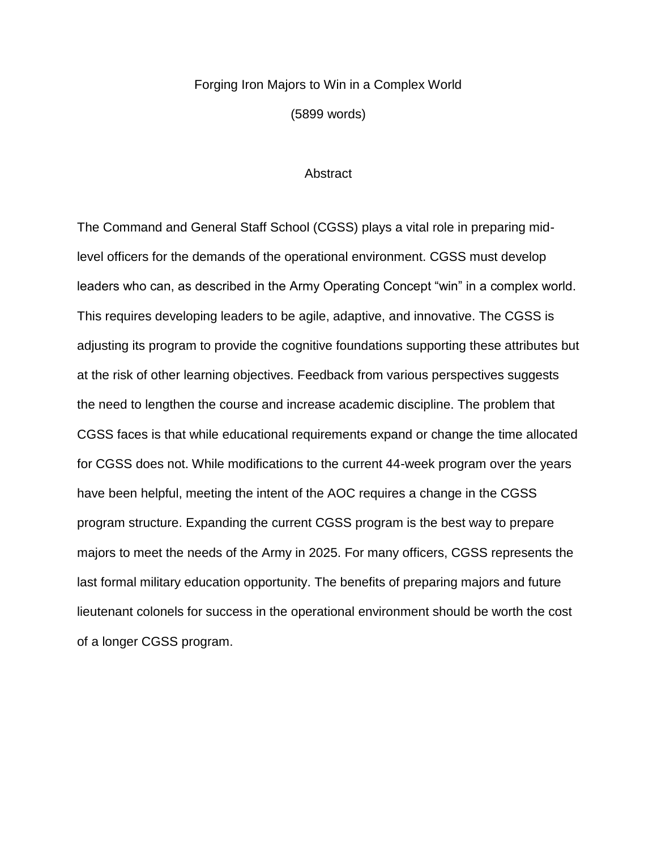## Forging Iron Majors to Win in a Complex World

(5899 words)

### **Abstract**

The Command and General Staff School (CGSS) plays a vital role in preparing midlevel officers for the demands of the operational environment. CGSS must develop leaders who can, as described in the Army Operating Concept "win" in a complex world. This requires developing leaders to be agile, adaptive, and innovative. The CGSS is adjusting its program to provide the cognitive foundations supporting these attributes but at the risk of other learning objectives. Feedback from various perspectives suggests the need to lengthen the course and increase academic discipline. The problem that CGSS faces is that while educational requirements expand or change the time allocated for CGSS does not. While modifications to the current 44-week program over the years have been helpful, meeting the intent of the AOC requires a change in the CGSS program structure. Expanding the current CGSS program is the best way to prepare majors to meet the needs of the Army in 2025. For many officers, CGSS represents the last formal military education opportunity. The benefits of preparing majors and future lieutenant colonels for success in the operational environment should be worth the cost of a longer CGSS program.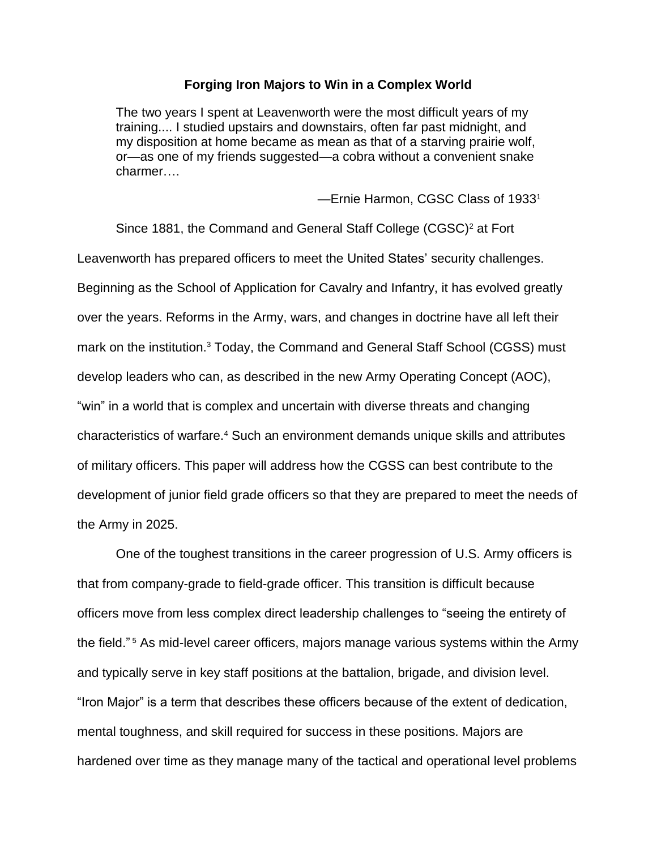### **Forging Iron Majors to Win in a Complex World**

The two years I spent at Leavenworth were the most difficult years of my training.... I studied upstairs and downstairs, often far past midnight, and my disposition at home became as mean as that of a starving prairie wolf, or—as one of my friends suggested—a cobra without a convenient snake charmer….

—Ernie Harmon, CGSC Class of 1933<sup>1</sup>

Since 1881, the Command and General Staff College (CGSC)<sup>2</sup> at Fort Leavenworth has prepared officers to meet the United States' security challenges. Beginning as the School of Application for Cavalry and Infantry, it has evolved greatly over the years. Reforms in the Army, wars, and changes in doctrine have all left their mark on the institution.<sup>3</sup> Today, the Command and General Staff School (CGSS) must develop leaders who can, as described in the new Army Operating Concept (AOC), "win" in a world that is complex and uncertain with diverse threats and changing characteristics of warfare.<sup>4</sup> Such an environment demands unique skills and attributes of military officers. This paper will address how the CGSS can best contribute to the development of junior field grade officers so that they are prepared to meet the needs of the Army in 2025.

One of the toughest transitions in the career progression of U.S. Army officers is that from company-grade to field-grade officer. This transition is difficult because officers move from less complex direct leadership challenges to "seeing the entirety of the field." <sup>5</sup> As mid-level career officers, majors manage various systems within the Army and typically serve in key staff positions at the battalion, brigade, and division level. "Iron Major" is a term that describes these officers because of the extent of dedication, mental toughness, and skill required for success in these positions. Majors are hardened over time as they manage many of the tactical and operational level problems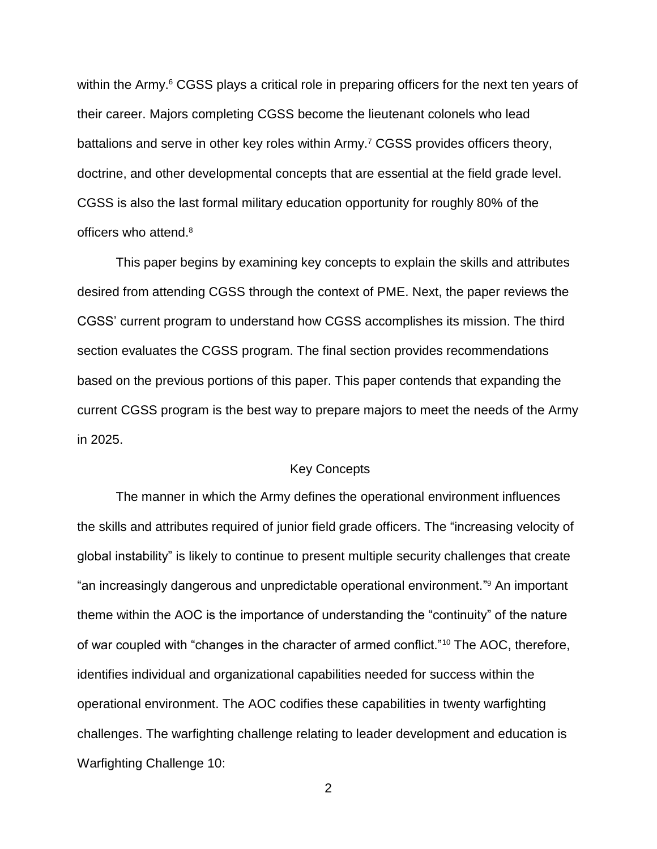within the Army.<sup>6</sup> CGSS plays a critical role in preparing officers for the next ten years of their career. Majors completing CGSS become the lieutenant colonels who lead battalions and serve in other key roles within Army.<sup>7</sup> CGSS provides officers theory, doctrine, and other developmental concepts that are essential at the field grade level. CGSS is also the last formal military education opportunity for roughly 80% of the officers who attend.<sup>8</sup>

This paper begins by examining key concepts to explain the skills and attributes desired from attending CGSS through the context of PME. Next, the paper reviews the CGSS' current program to understand how CGSS accomplishes its mission. The third section evaluates the CGSS program. The final section provides recommendations based on the previous portions of this paper. This paper contends that expanding the current CGSS program is the best way to prepare majors to meet the needs of the Army in 2025.

### Key Concepts

The manner in which the Army defines the operational environment influences the skills and attributes required of junior field grade officers. The "increasing velocity of global instability" is likely to continue to present multiple security challenges that create "an increasingly dangerous and unpredictable operational environment." <sup>9</sup> An important theme within the AOC is the importance of understanding the "continuity" of the nature of war coupled with "changes in the character of armed conflict."<sup>10</sup> The AOC, therefore, identifies individual and organizational capabilities needed for success within the operational environment. The AOC codifies these capabilities in twenty warfighting challenges. The warfighting challenge relating to leader development and education is Warfighting Challenge 10: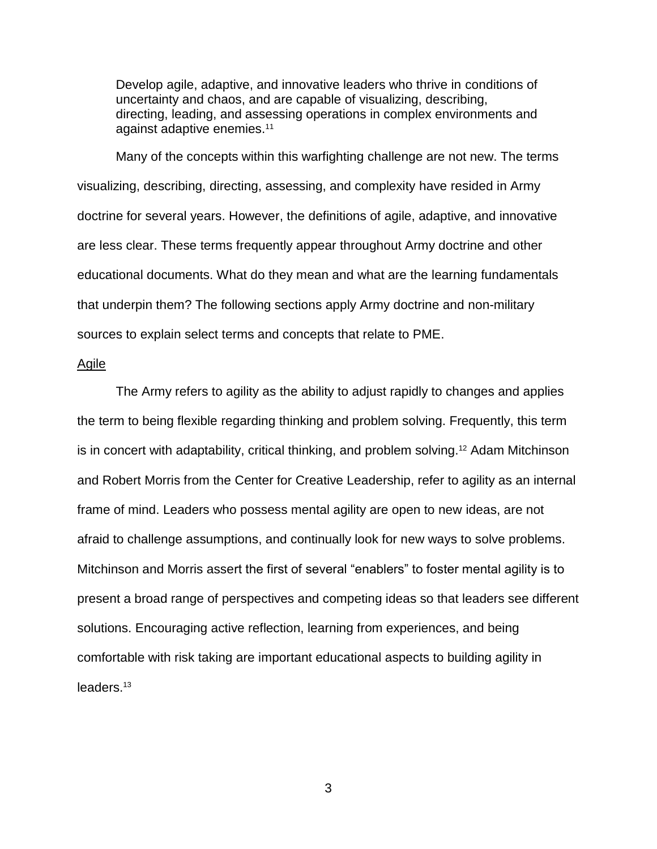Develop agile, adaptive, and innovative leaders who thrive in conditions of uncertainty and chaos, and are capable of visualizing, describing, directing, leading, and assessing operations in complex environments and against adaptive enemies.<sup>11</sup>

Many of the concepts within this warfighting challenge are not new. The terms visualizing, describing, directing, assessing, and complexity have resided in Army doctrine for several years. However, the definitions of agile, adaptive, and innovative are less clear. These terms frequently appear throughout Army doctrine and other educational documents. What do they mean and what are the learning fundamentals that underpin them? The following sections apply Army doctrine and non-military sources to explain select terms and concepts that relate to PME.

### Agile

The Army refers to agility as the ability to adjust rapidly to changes and applies the term to being flexible regarding thinking and problem solving. Frequently, this term is in concert with adaptability, critical thinking, and problem solving. <sup>12</sup> Adam Mitchinson and Robert Morris from the Center for Creative Leadership, refer to agility as an internal frame of mind. Leaders who possess mental agility are open to new ideas, are not afraid to challenge assumptions, and continually look for new ways to solve problems. Mitchinson and Morris assert the first of several "enablers" to foster mental agility is to present a broad range of perspectives and competing ideas so that leaders see different solutions. Encouraging active reflection, learning from experiences, and being comfortable with risk taking are important educational aspects to building agility in leaders.13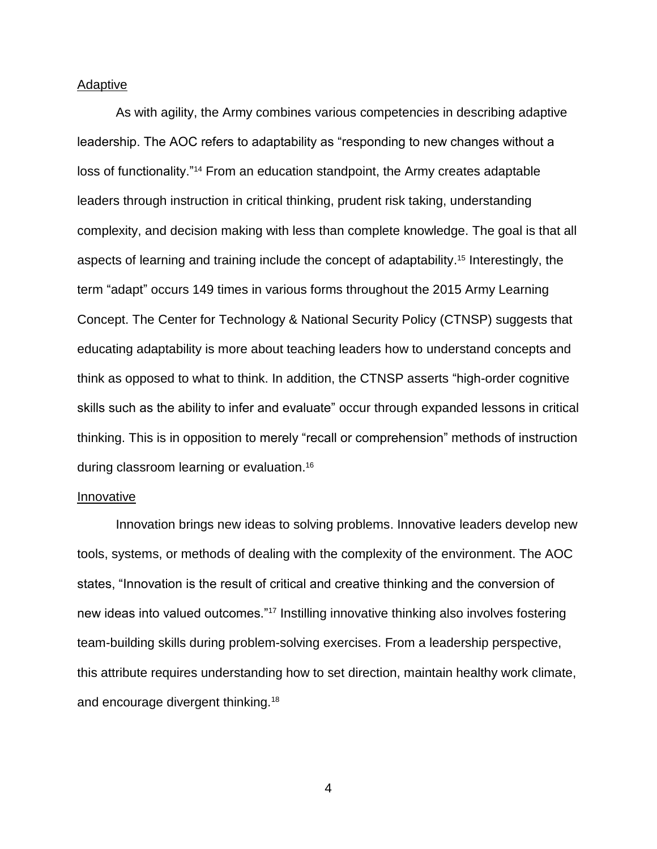### Adaptive

As with agility, the Army combines various competencies in describing adaptive leadership. The AOC refers to adaptability as "responding to new changes without a loss of functionality."<sup>14</sup> From an education standpoint, the Army creates adaptable leaders through instruction in critical thinking, prudent risk taking, understanding complexity, and decision making with less than complete knowledge. The goal is that all aspects of learning and training include the concept of adaptability. <sup>15</sup> Interestingly, the term "adapt" occurs 149 times in various forms throughout the 2015 Army Learning Concept. The Center for Technology & National Security Policy (CTNSP) suggests that educating adaptability is more about teaching leaders how to understand concepts and think as opposed to what to think. In addition, the CTNSP asserts "high-order cognitive skills such as the ability to infer and evaluate" occur through expanded lessons in critical thinking. This is in opposition to merely "recall or comprehension" methods of instruction during classroom learning or evaluation.<sup>16</sup>

### Innovative

Innovation brings new ideas to solving problems. Innovative leaders develop new tools, systems, or methods of dealing with the complexity of the environment. The AOC states, "Innovation is the result of critical and creative thinking and the conversion of new ideas into valued outcomes."<sup>17</sup> Instilling innovative thinking also involves fostering team-building skills during problem-solving exercises. From a leadership perspective, this attribute requires understanding how to set direction, maintain healthy work climate, and encourage divergent thinking.<sup>18</sup>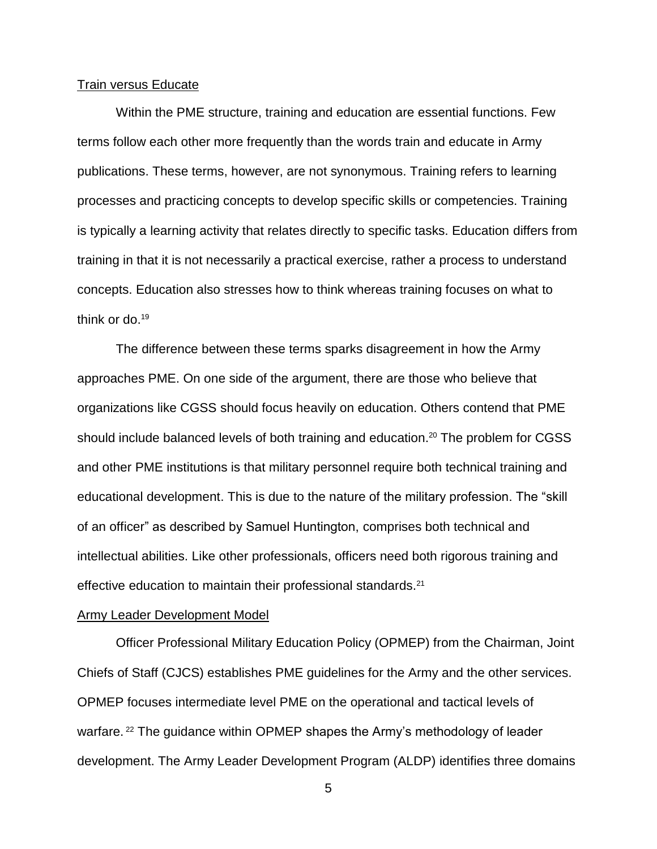### Train versus Educate

Within the PME structure, training and education are essential functions. Few terms follow each other more frequently than the words train and educate in Army publications. These terms, however, are not synonymous. Training refers to learning processes and practicing concepts to develop specific skills or competencies. Training is typically a learning activity that relates directly to specific tasks. Education differs from training in that it is not necessarily a practical exercise, rather a process to understand concepts. Education also stresses how to think whereas training focuses on what to think or do.<sup>19</sup>

The difference between these terms sparks disagreement in how the Army approaches PME. On one side of the argument, there are those who believe that organizations like CGSS should focus heavily on education. Others contend that PME should include balanced levels of both training and education.<sup>20</sup> The problem for CGSS and other PME institutions is that military personnel require both technical training and educational development. This is due to the nature of the military profession. The "skill of an officer" as described by Samuel Huntington, comprises both technical and intellectual abilities. Like other professionals, officers need both rigorous training and effective education to maintain their professional standards.<sup>21</sup>

### Army Leader Development Model

Officer Professional Military Education Policy (OPMEP) from the Chairman, Joint Chiefs of Staff (CJCS) establishes PME guidelines for the Army and the other services. OPMEP focuses intermediate level PME on the operational and tactical levels of warfare. <sup>22</sup> The guidance within OPMEP shapes the Army's methodology of leader development. The Army Leader Development Program (ALDP) identifies three domains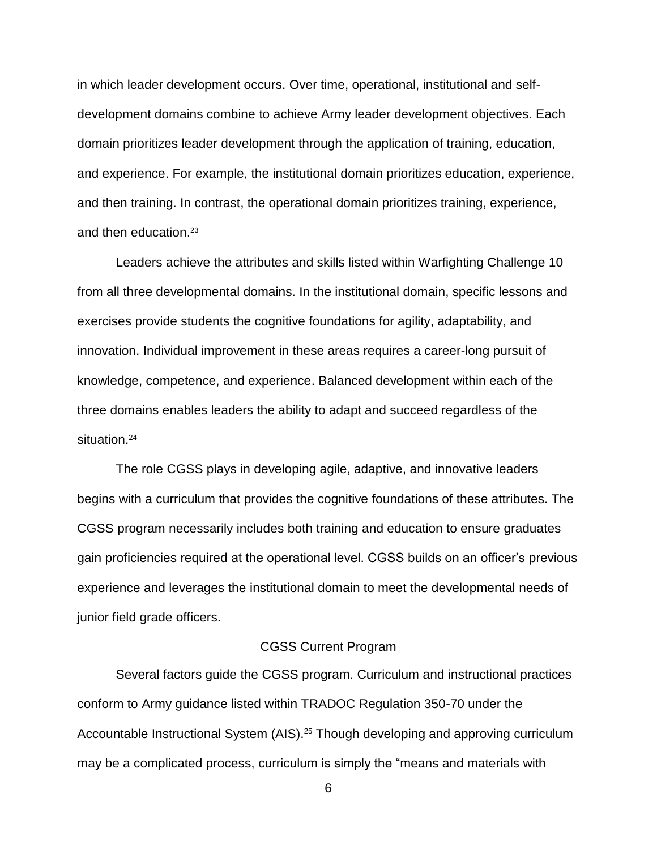in which leader development occurs. Over time, operational, institutional and selfdevelopment domains combine to achieve Army leader development objectives. Each domain prioritizes leader development through the application of training, education, and experience. For example, the institutional domain prioritizes education, experience, and then training. In contrast, the operational domain prioritizes training, experience, and then education.<sup>23</sup>

Leaders achieve the attributes and skills listed within Warfighting Challenge 10 from all three developmental domains. In the institutional domain, specific lessons and exercises provide students the cognitive foundations for agility, adaptability, and innovation. Individual improvement in these areas requires a career-long pursuit of knowledge, competence, and experience. Balanced development within each of the three domains enables leaders the ability to adapt and succeed regardless of the situation.<sup>24</sup>

The role CGSS plays in developing agile, adaptive, and innovative leaders begins with a curriculum that provides the cognitive foundations of these attributes. The CGSS program necessarily includes both training and education to ensure graduates gain proficiencies required at the operational level. CGSS builds on an officer's previous experience and leverages the institutional domain to meet the developmental needs of junior field grade officers.

### CGSS Current Program

Several factors guide the CGSS program. Curriculum and instructional practices conform to Army guidance listed within TRADOC Regulation 350-70 under the Accountable Instructional System (AIS).<sup>25</sup> Though developing and approving curriculum may be a complicated process, curriculum is simply the "means and materials with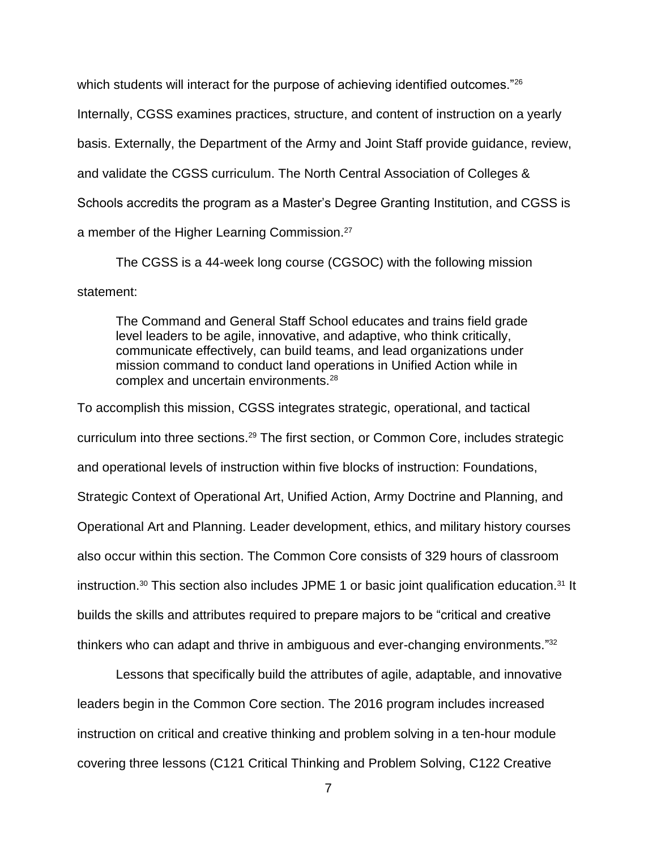which students will interact for the purpose of achieving identified outcomes."<sup>26</sup> Internally, CGSS examines practices, structure, and content of instruction on a yearly basis. Externally, the Department of the Army and Joint Staff provide guidance, review, and validate the CGSS curriculum. The North Central Association of Colleges & Schools accredits the program as a Master's Degree Granting Institution, and CGSS is a member of the Higher Learning Commission.<sup>27</sup>

The CGSS is a 44-week long course (CGSOC) with the following mission statement:

The Command and General Staff School educates and trains field grade level leaders to be agile, innovative, and adaptive, who think critically, communicate effectively, can build teams, and lead organizations under mission command to conduct land operations in Unified Action while in complex and uncertain environments.<sup>28</sup>

To accomplish this mission, CGSS integrates strategic, operational, and tactical curriculum into three sections.<sup>29</sup> The first section, or Common Core, includes strategic and operational levels of instruction within five blocks of instruction: Foundations, Strategic Context of Operational Art, Unified Action, Army Doctrine and Planning, and Operational Art and Planning. Leader development, ethics, and military history courses also occur within this section. The Common Core consists of 329 hours of classroom instruction.<sup>30</sup> This section also includes JPME 1 or basic joint qualification education.<sup>31</sup> It builds the skills and attributes required to prepare majors to be "critical and creative thinkers who can adapt and thrive in ambiguous and ever-changing environments."<sup>32</sup>

Lessons that specifically build the attributes of agile, adaptable, and innovative leaders begin in the Common Core section. The 2016 program includes increased instruction on critical and creative thinking and problem solving in a ten-hour module covering three lessons (C121 Critical Thinking and Problem Solving, C122 Creative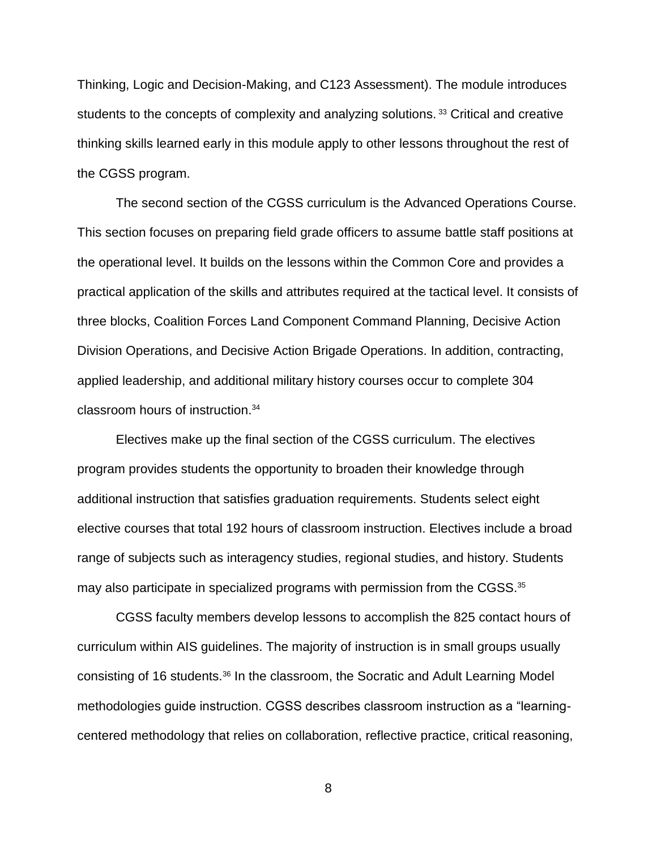Thinking, Logic and Decision-Making, and C123 Assessment). The module introduces students to the concepts of complexity and analyzing solutions.<sup>33</sup> Critical and creative thinking skills learned early in this module apply to other lessons throughout the rest of the CGSS program.

The second section of the CGSS curriculum is the Advanced Operations Course. This section focuses on preparing field grade officers to assume battle staff positions at the operational level. It builds on the lessons within the Common Core and provides a practical application of the skills and attributes required at the tactical level. It consists of three blocks, Coalition Forces Land Component Command Planning, Decisive Action Division Operations, and Decisive Action Brigade Operations. In addition, contracting, applied leadership, and additional military history courses occur to complete 304 classroom hours of instruction.<sup>34</sup>

Electives make up the final section of the CGSS curriculum. The electives program provides students the opportunity to broaden their knowledge through additional instruction that satisfies graduation requirements. Students select eight elective courses that total 192 hours of classroom instruction. Electives include a broad range of subjects such as interagency studies, regional studies, and history. Students may also participate in specialized programs with permission from the CGSS.<sup>35</sup>

CGSS faculty members develop lessons to accomplish the 825 contact hours of curriculum within AIS guidelines. The majority of instruction is in small groups usually consisting of 16 students.<sup>36</sup> In the classroom, the Socratic and Adult Learning Model methodologies guide instruction. CGSS describes classroom instruction as a "learningcentered methodology that relies on collaboration, reflective practice, critical reasoning,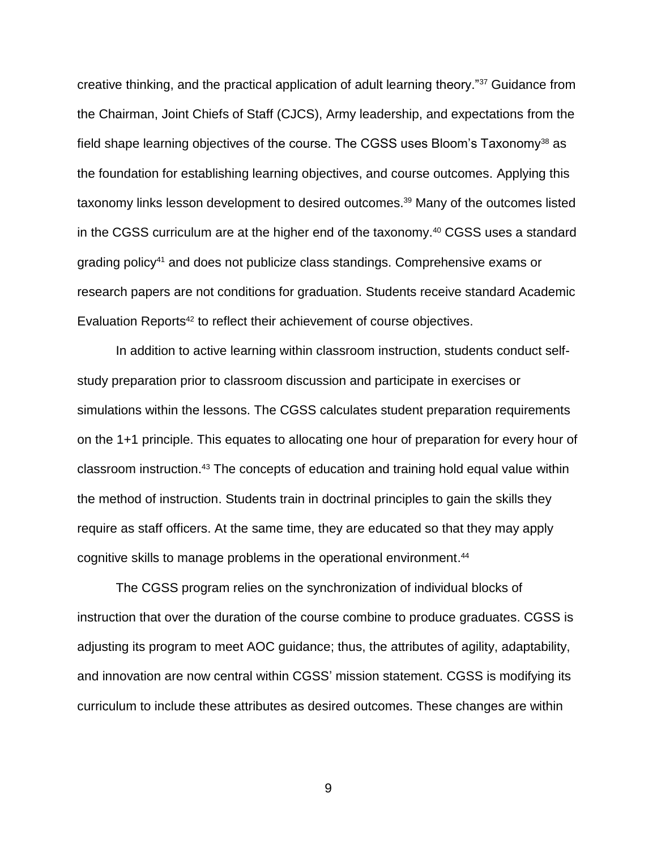creative thinking, and the practical application of adult learning theory."<sup>37</sup> Guidance from the Chairman, Joint Chiefs of Staff (CJCS), Army leadership, and expectations from the field shape learning objectives of the course. The CGSS uses Bloom's Taxonomy<sup>38</sup> as the foundation for establishing learning objectives, and course outcomes. Applying this taxonomy links lesson development to desired outcomes. <sup>39</sup> Many of the outcomes listed in the CGSS curriculum are at the higher end of the taxonomy.<sup>40</sup> CGSS uses a standard grading policy<sup>41</sup> and does not publicize class standings. Comprehensive exams or research papers are not conditions for graduation. Students receive standard Academic Evaluation Reports<sup>42</sup> to reflect their achievement of course objectives.

In addition to active learning within classroom instruction, students conduct selfstudy preparation prior to classroom discussion and participate in exercises or simulations within the lessons. The CGSS calculates student preparation requirements on the 1+1 principle. This equates to allocating one hour of preparation for every hour of classroom instruction.<sup>43</sup> The concepts of education and training hold equal value within the method of instruction. Students train in doctrinal principles to gain the skills they require as staff officers. At the same time, they are educated so that they may apply cognitive skills to manage problems in the operational environment. 44

The CGSS program relies on the synchronization of individual blocks of instruction that over the duration of the course combine to produce graduates. CGSS is adjusting its program to meet AOC guidance; thus, the attributes of agility, adaptability, and innovation are now central within CGSS' mission statement. CGSS is modifying its curriculum to include these attributes as desired outcomes. These changes are within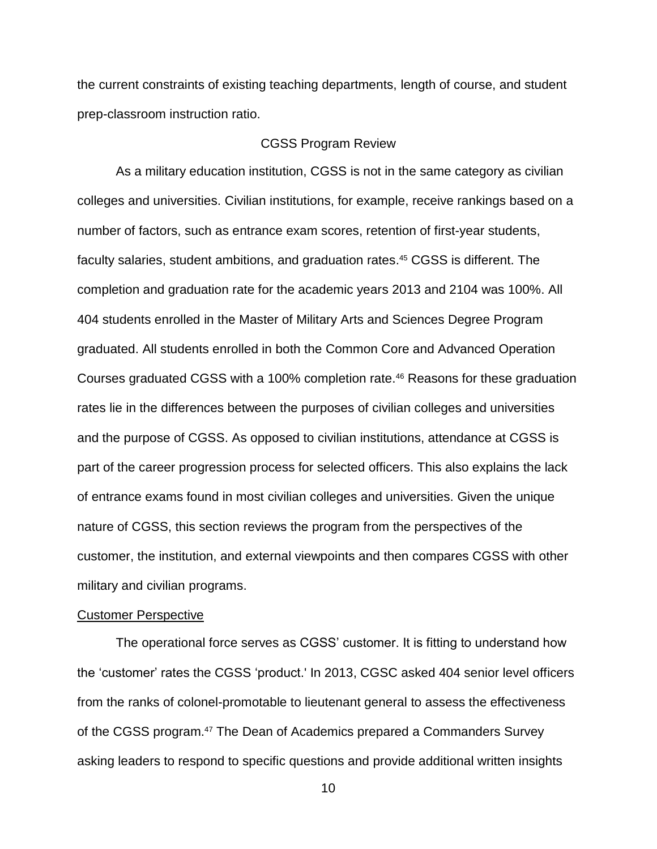the current constraints of existing teaching departments, length of course, and student prep-classroom instruction ratio.

### CGSS Program Review

As a military education institution, CGSS is not in the same category as civilian colleges and universities. Civilian institutions, for example, receive rankings based on a number of factors, such as entrance exam scores, retention of first-year students, faculty salaries, student ambitions, and graduation rates. <sup>45</sup> CGSS is different. The completion and graduation rate for the academic years 2013 and 2104 was 100%. All 404 students enrolled in the Master of Military Arts and Sciences Degree Program graduated. All students enrolled in both the Common Core and Advanced Operation Courses graduated CGSS with a 100% completion rate.<sup>46</sup> Reasons for these graduation rates lie in the differences between the purposes of civilian colleges and universities and the purpose of CGSS. As opposed to civilian institutions, attendance at CGSS is part of the career progression process for selected officers. This also explains the lack of entrance exams found in most civilian colleges and universities. Given the unique nature of CGSS, this section reviews the program from the perspectives of the customer, the institution, and external viewpoints and then compares CGSS with other military and civilian programs.

### Customer Perspective

The operational force serves as CGSS' customer. It is fitting to understand how the 'customer' rates the CGSS 'product.' In 2013, CGSC asked 404 senior level officers from the ranks of colonel-promotable to lieutenant general to assess the effectiveness of the CGSS program.<sup>47</sup> The Dean of Academics prepared a Commanders Survey asking leaders to respond to specific questions and provide additional written insights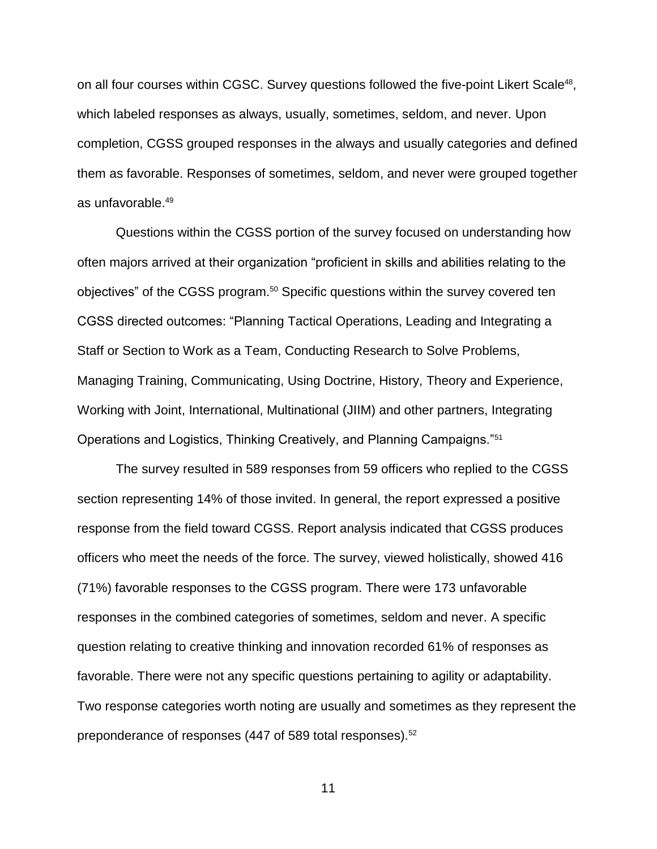on all four courses within CGSC. Survey questions followed the five-point Likert Scale<sup>48</sup>, which labeled responses as always, usually, sometimes, seldom, and never. Upon completion, CGSS grouped responses in the always and usually categories and defined them as favorable. Responses of sometimes, seldom, and never were grouped together as unfavorable.<sup>49</sup>

Questions within the CGSS portion of the survey focused on understanding how often majors arrived at their organization "proficient in skills and abilities relating to the objectives" of the CGSS program.<sup>50</sup> Specific questions within the survey covered ten CGSS directed outcomes: "Planning Tactical Operations, Leading and Integrating a Staff or Section to Work as a Team, Conducting Research to Solve Problems, Managing Training, Communicating, Using Doctrine, History, Theory and Experience, Working with Joint, International, Multinational (JIIM) and other partners, Integrating Operations and Logistics, Thinking Creatively, and Planning Campaigns."<sup>51</sup>

The survey resulted in 589 responses from 59 officers who replied to the CGSS section representing 14% of those invited. In general, the report expressed a positive response from the field toward CGSS. Report analysis indicated that CGSS produces officers who meet the needs of the force. The survey, viewed holistically, showed 416 (71%) favorable responses to the CGSS program. There were 173 unfavorable responses in the combined categories of sometimes, seldom and never. A specific question relating to creative thinking and innovation recorded 61% of responses as favorable. There were not any specific questions pertaining to agility or adaptability. Two response categories worth noting are usually and sometimes as they represent the preponderance of responses (447 of 589 total responses).<sup>52</sup>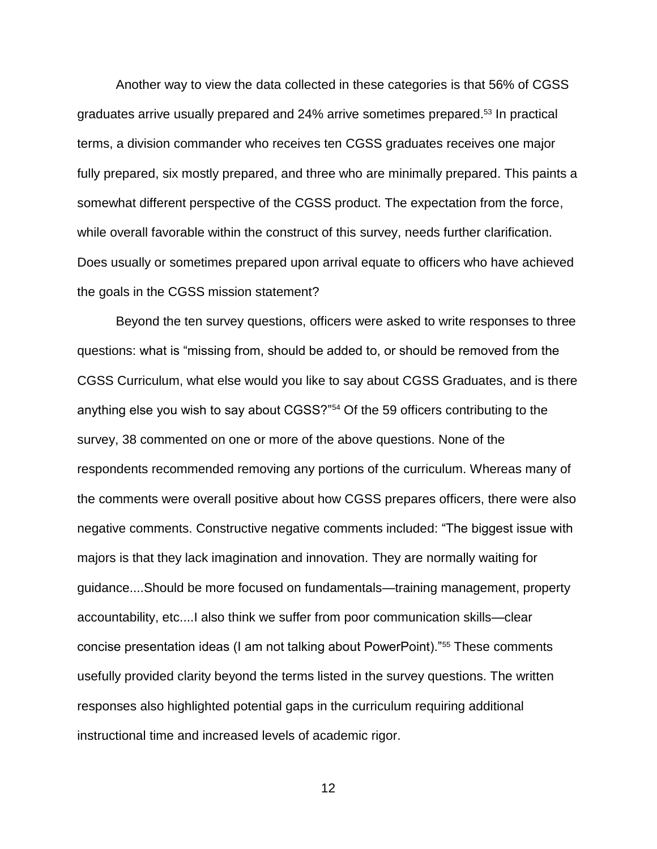Another way to view the data collected in these categories is that 56% of CGSS graduates arrive usually prepared and 24% arrive sometimes prepared. <sup>53</sup> In practical terms, a division commander who receives ten CGSS graduates receives one major fully prepared, six mostly prepared, and three who are minimally prepared. This paints a somewhat different perspective of the CGSS product. The expectation from the force, while overall favorable within the construct of this survey, needs further clarification. Does usually or sometimes prepared upon arrival equate to officers who have achieved the goals in the CGSS mission statement?

Beyond the ten survey questions, officers were asked to write responses to three questions: what is "missing from, should be added to, or should be removed from the CGSS Curriculum, what else would you like to say about CGSS Graduates, and is there anything else you wish to say about CGSS?"<sup>54</sup> Of the 59 officers contributing to the survey, 38 commented on one or more of the above questions. None of the respondents recommended removing any portions of the curriculum. Whereas many of the comments were overall positive about how CGSS prepares officers, there were also negative comments. Constructive negative comments included: "The biggest issue with majors is that they lack imagination and innovation. They are normally waiting for guidance....Should be more focused on fundamentals—training management, property accountability, etc....I also think we suffer from poor communication skills—clear concise presentation ideas (I am not talking about PowerPoint)."<sup>55</sup> These comments usefully provided clarity beyond the terms listed in the survey questions. The written responses also highlighted potential gaps in the curriculum requiring additional instructional time and increased levels of academic rigor.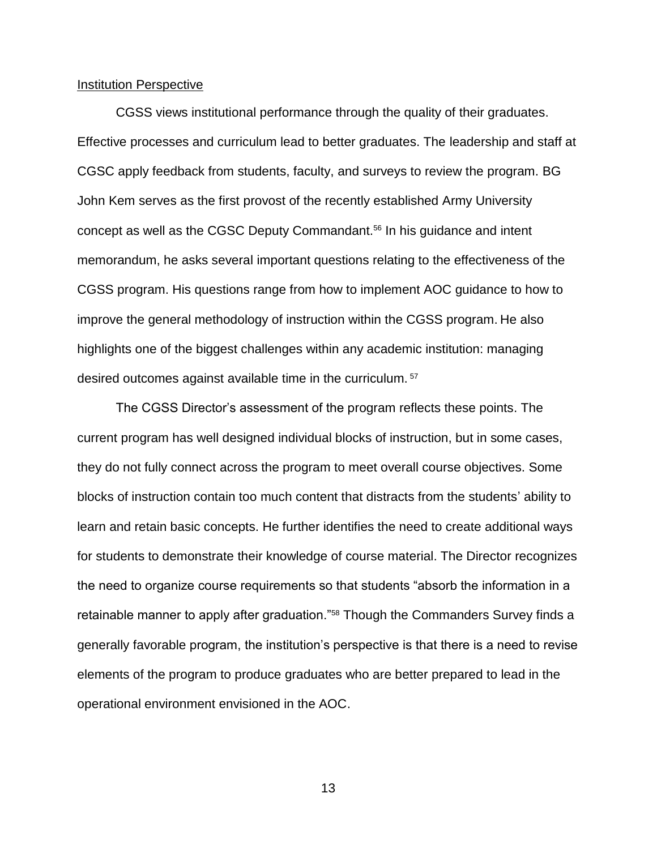### Institution Perspective

CGSS views institutional performance through the quality of their graduates. Effective processes and curriculum lead to better graduates. The leadership and staff at CGSC apply feedback from students, faculty, and surveys to review the program. BG John Kem serves as the first provost of the recently established Army University concept as well as the CGSC Deputy Commandant.<sup>56</sup> In his guidance and intent memorandum, he asks several important questions relating to the effectiveness of the CGSS program. His questions range from how to implement AOC guidance to how to improve the general methodology of instruction within the CGSS program. He also highlights one of the biggest challenges within any academic institution: managing desired outcomes against available time in the curriculum. <sup>57</sup>

The CGSS Director's assessment of the program reflects these points. The current program has well designed individual blocks of instruction, but in some cases, they do not fully connect across the program to meet overall course objectives. Some blocks of instruction contain too much content that distracts from the students' ability to learn and retain basic concepts. He further identifies the need to create additional ways for students to demonstrate their knowledge of course material. The Director recognizes the need to organize course requirements so that students "absorb the information in a retainable manner to apply after graduation."<sup>58</sup> Though the Commanders Survey finds a generally favorable program, the institution's perspective is that there is a need to revise elements of the program to produce graduates who are better prepared to lead in the operational environment envisioned in the AOC.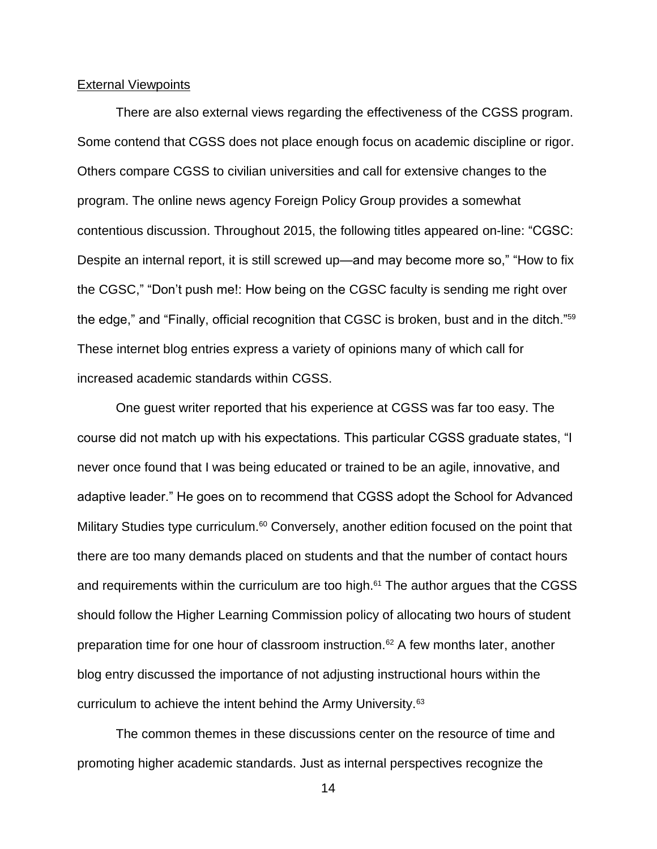### External Viewpoints

There are also external views regarding the effectiveness of the CGSS program. Some contend that CGSS does not place enough focus on academic discipline or rigor. Others compare CGSS to civilian universities and call for extensive changes to the program. The online news agency Foreign Policy Group provides a somewhat contentious discussion. Throughout 2015, the following titles appeared on-line: "CGSC: Despite an internal report, it is still screwed up—and may become more so," "How to fix the CGSC," "Don't push me!: How being on the CGSC faculty is sending me right over the edge," and "Finally, official recognition that CGSC is broken, bust and in the ditch."<sup>59</sup> These internet blog entries express a variety of opinions many of which call for increased academic standards within CGSS.

One guest writer reported that his experience at CGSS was far too easy. The course did not match up with his expectations. This particular CGSS graduate states, "I never once found that I was being educated or trained to be an agile, innovative, and adaptive leader." He goes on to recommend that CGSS adopt the School for Advanced Military Studies type curriculum.<sup>60</sup> Conversely, another edition focused on the point that there are too many demands placed on students and that the number of contact hours and requirements within the curriculum are too high. $61$  The author argues that the CGSS should follow the Higher Learning Commission policy of allocating two hours of student preparation time for one hour of classroom instruction.<sup>62</sup> A few months later, another blog entry discussed the importance of not adjusting instructional hours within the curriculum to achieve the intent behind the Army University.<sup>63</sup>

The common themes in these discussions center on the resource of time and promoting higher academic standards. Just as internal perspectives recognize the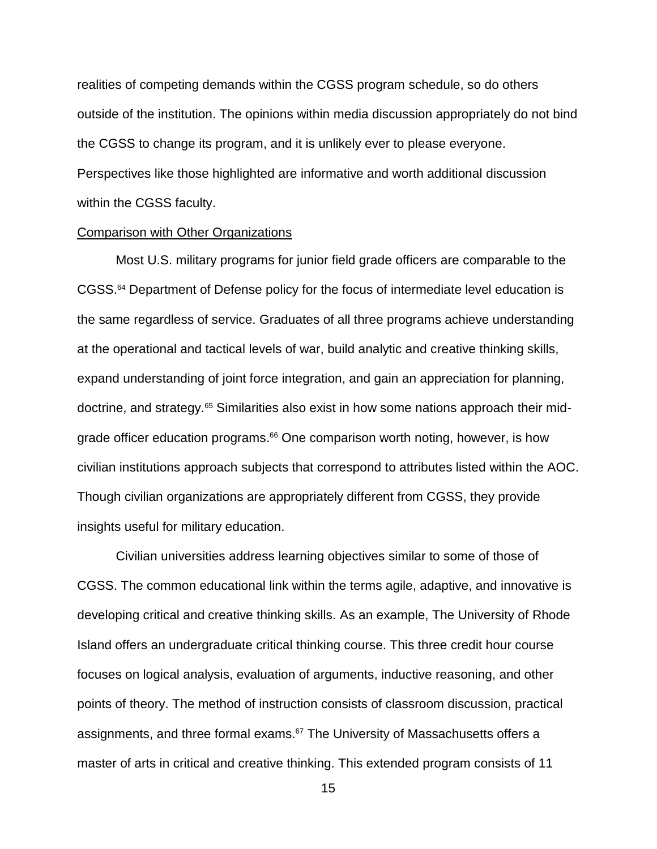realities of competing demands within the CGSS program schedule, so do others outside of the institution. The opinions within media discussion appropriately do not bind the CGSS to change its program, and it is unlikely ever to please everyone. Perspectives like those highlighted are informative and worth additional discussion within the CGSS faculty.

### Comparison with Other Organizations

Most U.S. military programs for junior field grade officers are comparable to the CGSS.<sup>64</sup> Department of Defense policy for the focus of intermediate level education is the same regardless of service. Graduates of all three programs achieve understanding at the operational and tactical levels of war, build analytic and creative thinking skills, expand understanding of joint force integration, and gain an appreciation for planning, doctrine, and strategy.<sup>65</sup> Similarities also exist in how some nations approach their midgrade officer education programs. <sup>66</sup> One comparison worth noting, however, is how civilian institutions approach subjects that correspond to attributes listed within the AOC. Though civilian organizations are appropriately different from CGSS, they provide insights useful for military education.

Civilian universities address learning objectives similar to some of those of CGSS. The common educational link within the terms agile, adaptive, and innovative is developing critical and creative thinking skills. As an example, The University of Rhode Island offers an undergraduate critical thinking course. This three credit hour course focuses on logical analysis, evaluation of arguments, inductive reasoning, and other points of theory. The method of instruction consists of classroom discussion, practical assignments, and three formal exams.<sup>67</sup> The University of Massachusetts offers a master of arts in critical and creative thinking. This extended program consists of 11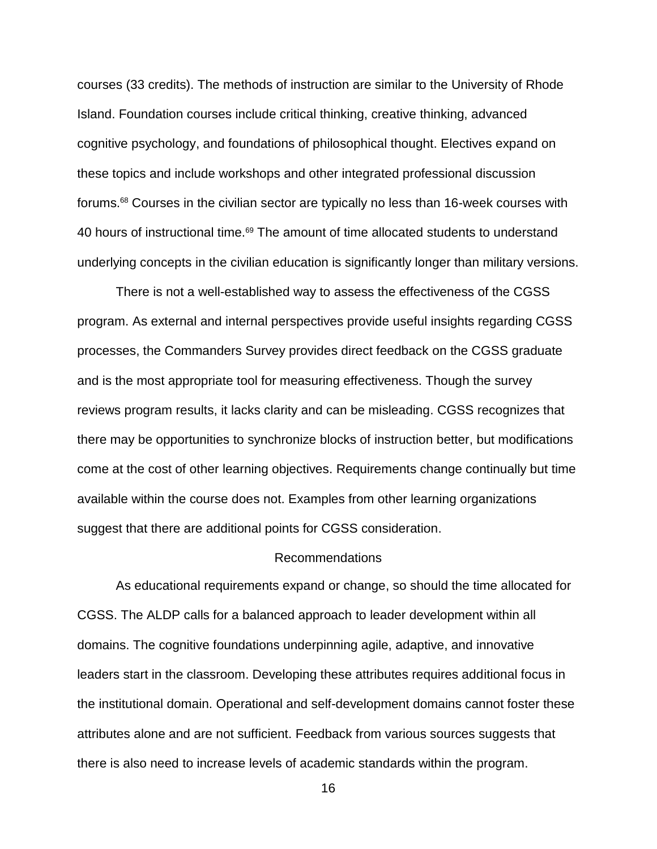courses (33 credits). The methods of instruction are similar to the University of Rhode Island. Foundation courses include critical thinking, creative thinking, advanced cognitive psychology, and foundations of philosophical thought. Electives expand on these topics and include workshops and other integrated professional discussion forums.<sup>68</sup> Courses in the civilian sector are typically no less than 16-week courses with 40 hours of instructional time.<sup>69</sup> The amount of time allocated students to understand underlying concepts in the civilian education is significantly longer than military versions.

There is not a well-established way to assess the effectiveness of the CGSS program. As external and internal perspectives provide useful insights regarding CGSS processes, the Commanders Survey provides direct feedback on the CGSS graduate and is the most appropriate tool for measuring effectiveness. Though the survey reviews program results, it lacks clarity and can be misleading. CGSS recognizes that there may be opportunities to synchronize blocks of instruction better, but modifications come at the cost of other learning objectives. Requirements change continually but time available within the course does not. Examples from other learning organizations suggest that there are additional points for CGSS consideration.

### Recommendations

As educational requirements expand or change, so should the time allocated for CGSS. The ALDP calls for a balanced approach to leader development within all domains. The cognitive foundations underpinning agile, adaptive, and innovative leaders start in the classroom. Developing these attributes requires additional focus in the institutional domain. Operational and self-development domains cannot foster these attributes alone and are not sufficient. Feedback from various sources suggests that there is also need to increase levels of academic standards within the program.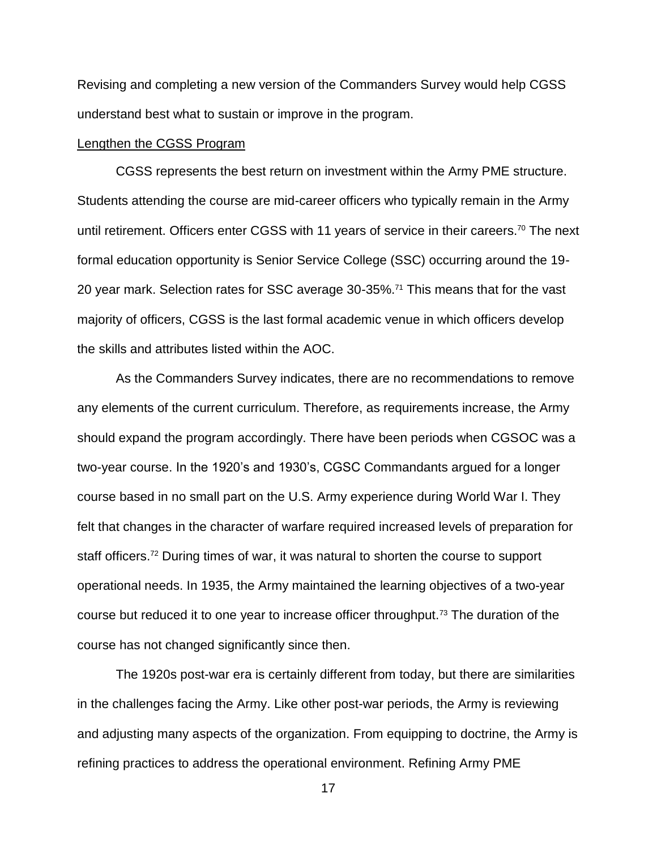Revising and completing a new version of the Commanders Survey would help CGSS understand best what to sustain or improve in the program.

### Lengthen the CGSS Program

CGSS represents the best return on investment within the Army PME structure. Students attending the course are mid-career officers who typically remain in the Army until retirement. Officers enter CGSS with 11 years of service in their careers.<sup>70</sup> The next formal education opportunity is Senior Service College (SSC) occurring around the 19- 20 year mark. Selection rates for SSC average 30-35%.<sup>71</sup> This means that for the vast majority of officers, CGSS is the last formal academic venue in which officers develop the skills and attributes listed within the AOC.

As the Commanders Survey indicates, there are no recommendations to remove any elements of the current curriculum. Therefore, as requirements increase, the Army should expand the program accordingly. There have been periods when CGSOC was a two-year course. In the 1920's and 1930's, CGSC Commandants argued for a longer course based in no small part on the U.S. Army experience during World War I. They felt that changes in the character of warfare required increased levels of preparation for staff officers.<sup>72</sup> During times of war, it was natural to shorten the course to support operational needs. In 1935, the Army maintained the learning objectives of a two-year course but reduced it to one year to increase officer throughput.<sup>73</sup> The duration of the course has not changed significantly since then.

The 1920s post-war era is certainly different from today, but there are similarities in the challenges facing the Army. Like other post-war periods, the Army is reviewing and adjusting many aspects of the organization. From equipping to doctrine, the Army is refining practices to address the operational environment. Refining Army PME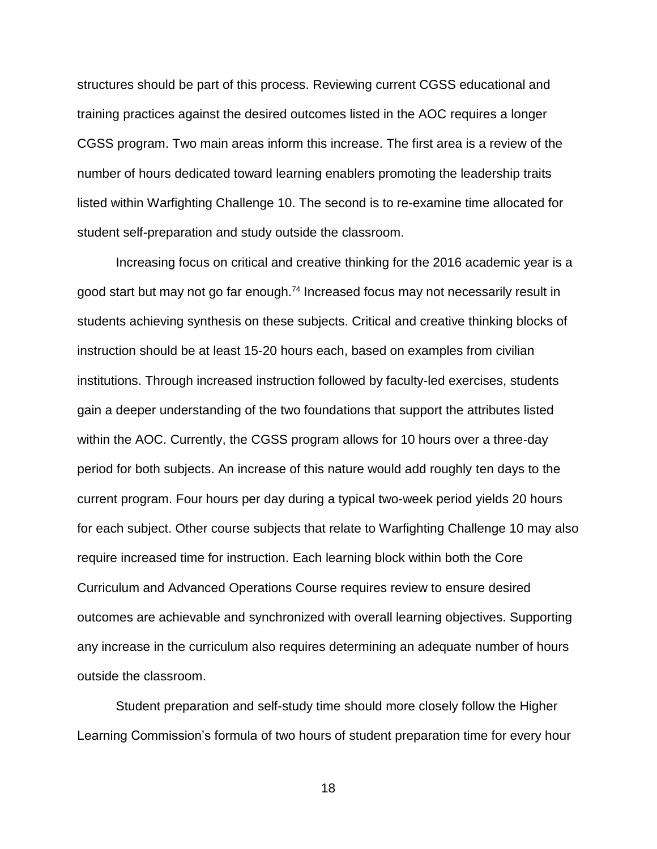structures should be part of this process. Reviewing current CGSS educational and training practices against the desired outcomes listed in the AOC requires a longer CGSS program. Two main areas inform this increase. The first area is a review of the number of hours dedicated toward learning enablers promoting the leadership traits listed within Warfighting Challenge 10. The second is to re-examine time allocated for student self-preparation and study outside the classroom.

Increasing focus on critical and creative thinking for the 2016 academic year is a good start but may not go far enough.<sup>74</sup> Increased focus may not necessarily result in students achieving synthesis on these subjects. Critical and creative thinking blocks of instruction should be at least 15-20 hours each, based on examples from civilian institutions. Through increased instruction followed by faculty-led exercises, students gain a deeper understanding of the two foundations that support the attributes listed within the AOC. Currently, the CGSS program allows for 10 hours over a three-day period for both subjects. An increase of this nature would add roughly ten days to the current program. Four hours per day during a typical two-week period yields 20 hours for each subject. Other course subjects that relate to Warfighting Challenge 10 may also require increased time for instruction. Each learning block within both the Core Curriculum and Advanced Operations Course requires review to ensure desired outcomes are achievable and synchronized with overall learning objectives. Supporting any increase in the curriculum also requires determining an adequate number of hours outside the classroom.

Student preparation and self-study time should more closely follow the Higher Learning Commission's formula of two hours of student preparation time for every hour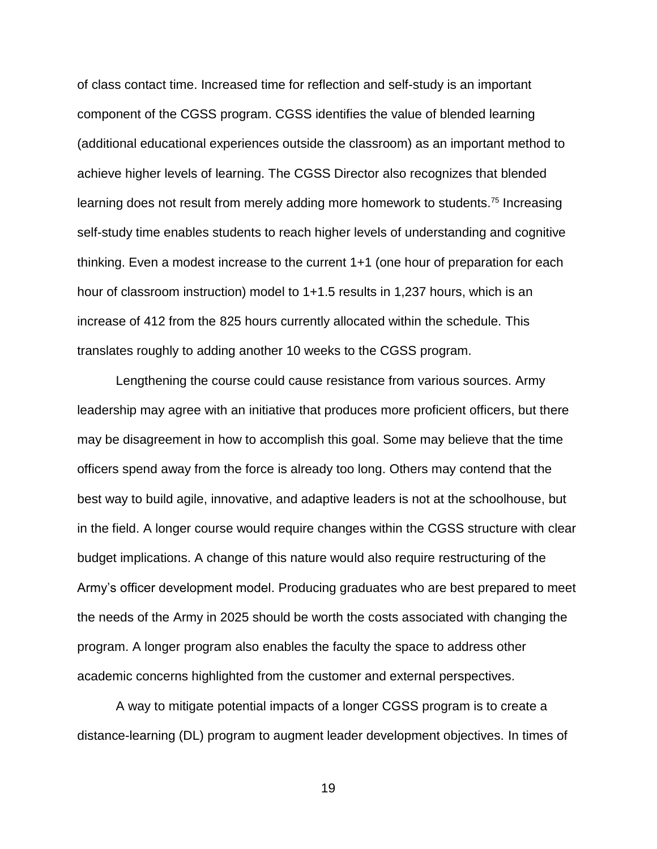of class contact time. Increased time for reflection and self-study is an important component of the CGSS program. CGSS identifies the value of blended learning (additional educational experiences outside the classroom) as an important method to achieve higher levels of learning. The CGSS Director also recognizes that blended learning does not result from merely adding more homework to students.<sup>75</sup> Increasing self-study time enables students to reach higher levels of understanding and cognitive thinking. Even a modest increase to the current 1+1 (one hour of preparation for each hour of classroom instruction) model to 1+1.5 results in 1,237 hours, which is an increase of 412 from the 825 hours currently allocated within the schedule. This translates roughly to adding another 10 weeks to the CGSS program.

Lengthening the course could cause resistance from various sources. Army leadership may agree with an initiative that produces more proficient officers, but there may be disagreement in how to accomplish this goal. Some may believe that the time officers spend away from the force is already too long. Others may contend that the best way to build agile, innovative, and adaptive leaders is not at the schoolhouse, but in the field. A longer course would require changes within the CGSS structure with clear budget implications. A change of this nature would also require restructuring of the Army's officer development model. Producing graduates who are best prepared to meet the needs of the Army in 2025 should be worth the costs associated with changing the program. A longer program also enables the faculty the space to address other academic concerns highlighted from the customer and external perspectives.

A way to mitigate potential impacts of a longer CGSS program is to create a distance-learning (DL) program to augment leader development objectives. In times of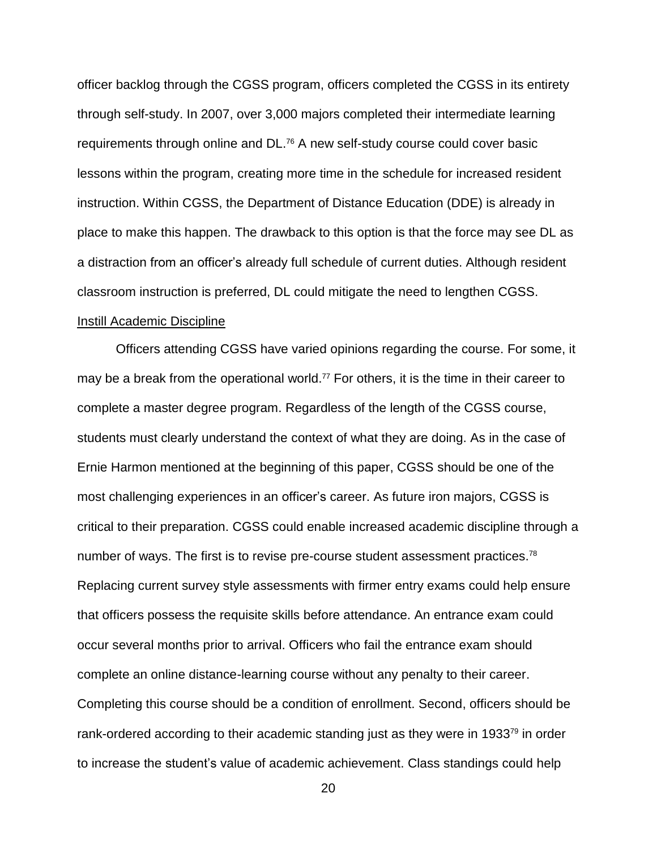officer backlog through the CGSS program, officers completed the CGSS in its entirety through self-study. In 2007, over 3,000 majors completed their intermediate learning requirements through online and DL.<sup>76</sup> A new self-study course could cover basic lessons within the program, creating more time in the schedule for increased resident instruction. Within CGSS, the Department of Distance Education (DDE) is already in place to make this happen. The drawback to this option is that the force may see DL as a distraction from an officer's already full schedule of current duties. Although resident classroom instruction is preferred, DL could mitigate the need to lengthen CGSS.

### Instill Academic Discipline

Officers attending CGSS have varied opinions regarding the course. For some, it may be a break from the operational world.<sup>77</sup> For others, it is the time in their career to complete a master degree program. Regardless of the length of the CGSS course, students must clearly understand the context of what they are doing. As in the case of Ernie Harmon mentioned at the beginning of this paper, CGSS should be one of the most challenging experiences in an officer's career. As future iron majors, CGSS is critical to their preparation. CGSS could enable increased academic discipline through a number of ways. The first is to revise pre-course student assessment practices.<sup>78</sup> Replacing current survey style assessments with firmer entry exams could help ensure that officers possess the requisite skills before attendance. An entrance exam could occur several months prior to arrival. Officers who fail the entrance exam should complete an online distance-learning course without any penalty to their career. Completing this course should be a condition of enrollment. Second, officers should be rank-ordered according to their academic standing just as they were in 1933<sup>79</sup> in order to increase the student's value of academic achievement. Class standings could help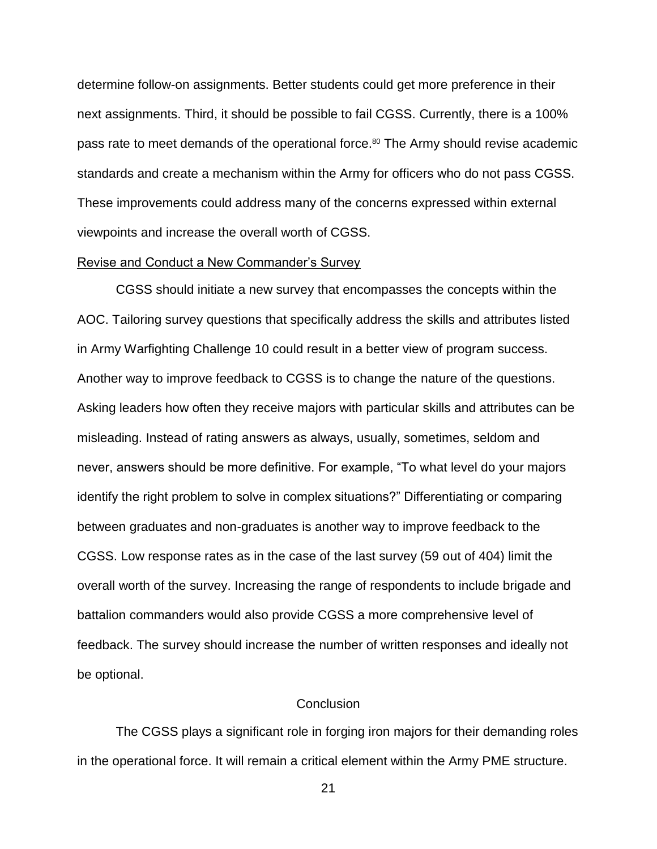determine follow-on assignments. Better students could get more preference in their next assignments. Third, it should be possible to fail CGSS. Currently, there is a 100% pass rate to meet demands of the operational force.<sup>80</sup> The Army should revise academic standards and create a mechanism within the Army for officers who do not pass CGSS. These improvements could address many of the concerns expressed within external viewpoints and increase the overall worth of CGSS.

### Revise and Conduct a New Commander's Survey

CGSS should initiate a new survey that encompasses the concepts within the AOC. Tailoring survey questions that specifically address the skills and attributes listed in Army Warfighting Challenge 10 could result in a better view of program success. Another way to improve feedback to CGSS is to change the nature of the questions. Asking leaders how often they receive majors with particular skills and attributes can be misleading. Instead of rating answers as always, usually, sometimes, seldom and never, answers should be more definitive. For example, "To what level do your majors identify the right problem to solve in complex situations?" Differentiating or comparing between graduates and non-graduates is another way to improve feedback to the CGSS. Low response rates as in the case of the last survey (59 out of 404) limit the overall worth of the survey. Increasing the range of respondents to include brigade and battalion commanders would also provide CGSS a more comprehensive level of feedback. The survey should increase the number of written responses and ideally not be optional.

### **Conclusion**

The CGSS plays a significant role in forging iron majors for their demanding roles in the operational force. It will remain a critical element within the Army PME structure.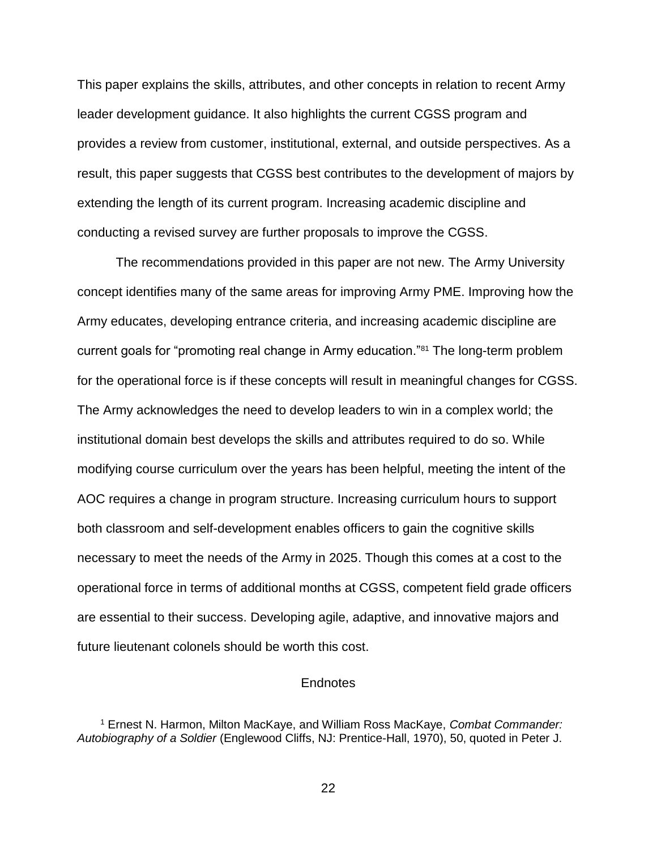This paper explains the skills, attributes, and other concepts in relation to recent Army leader development guidance. It also highlights the current CGSS program and provides a review from customer, institutional, external, and outside perspectives. As a result, this paper suggests that CGSS best contributes to the development of majors by extending the length of its current program. Increasing academic discipline and conducting a revised survey are further proposals to improve the CGSS.

The recommendations provided in this paper are not new. The Army University concept identifies many of the same areas for improving Army PME. Improving how the Army educates, developing entrance criteria, and increasing academic discipline are current goals for "promoting real change in Army education."<sup>81</sup> The long-term problem for the operational force is if these concepts will result in meaningful changes for CGSS. The Army acknowledges the need to develop leaders to win in a complex world; the institutional domain best develops the skills and attributes required to do so. While modifying course curriculum over the years has been helpful, meeting the intent of the AOC requires a change in program structure. Increasing curriculum hours to support both classroom and self-development enables officers to gain the cognitive skills necessary to meet the needs of the Army in 2025. Though this comes at a cost to the operational force in terms of additional months at CGSS, competent field grade officers are essential to their success. Developing agile, adaptive, and innovative majors and future lieutenant colonels should be worth this cost.

### **Endnotes**

<sup>1</sup> Ernest N. Harmon, Milton MacKaye, and William Ross MacKaye, *Combat Commander: Autobiography of a Soldier* (Englewood Cliffs, NJ: Prentice-Hall, 1970), 50, quoted in Peter J.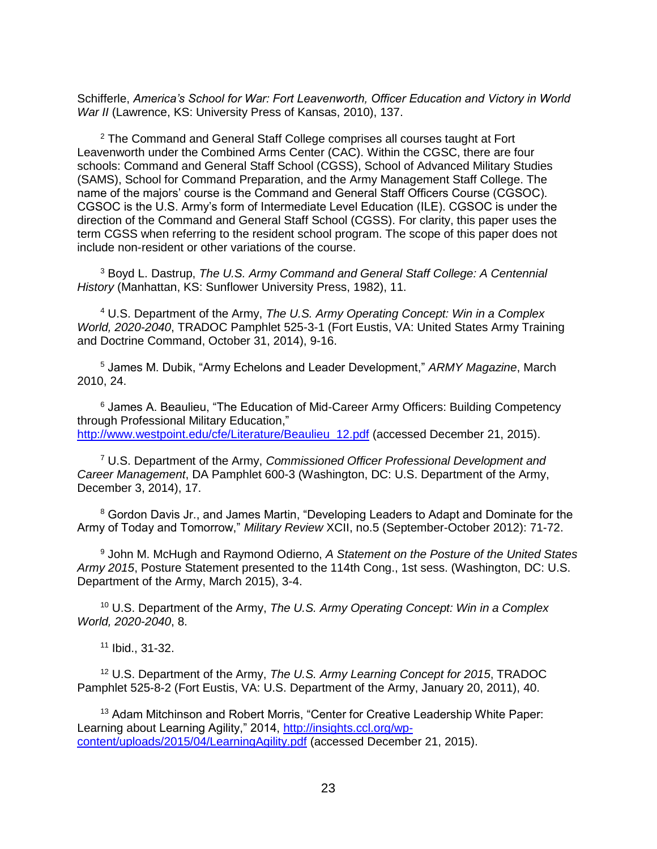Schifferle, *America's School for War: Fort Leavenworth, Officer Education and Victory in World War II* (Lawrence, KS: University Press of Kansas, 2010), 137.

<sup>2</sup> The Command and General Staff College comprises all courses taught at Fort Leavenworth under the Combined Arms Center (CAC). Within the CGSC, there are four schools: Command and General Staff School (CGSS), School of Advanced Military Studies (SAMS), School for Command Preparation, and the Army Management Staff College. The name of the majors' course is the Command and General Staff Officers Course (CGSOC). CGSOC is the U.S. Army's form of Intermediate Level Education (ILE). CGSOC is under the direction of the Command and General Staff School (CGSS). For clarity, this paper uses the term CGSS when referring to the resident school program. The scope of this paper does not include non-resident or other variations of the course.

<sup>3</sup> Boyd L. Dastrup, *The U.S. Army Command and General Staff College: A Centennial History* (Manhattan, KS: Sunflower University Press, 1982), 11.

<sup>4</sup> U.S. Department of the Army, *The U.S. Army Operating Concept: Win in a Complex World, 2020-2040*, TRADOC Pamphlet 525-3-1 (Fort Eustis, VA: United States Army Training and Doctrine Command, October 31, 2014), 9-16.

<sup>5</sup> James M. Dubik, "Army Echelons and Leader Development," *ARMY Magazine*, March 2010, 24.

<sup>6</sup> James A. Beaulieu, "The Education of Mid-Career Army Officers: Building Competency through Professional Military Education," [http://www.westpoint.edu/cfe/Literature/Beaulieu\\_12.pdf](http://www.westpoint.edu/cfe/Literature/Beaulieu_12.pdf) (accessed December 21, 2015).

<sup>7</sup> U.S. Department of the Army, *Commissioned Officer Professional Development and Career Management*, DA Pamphlet 600-3 (Washington, DC: U.S. Department of the Army, December 3, 2014), 17.

<sup>8</sup> Gordon Davis Jr., and James Martin, "Developing Leaders to Adapt and Dominate for the Army of Today and Tomorrow," *Military Review* XCII, no.5 (September-October 2012): 71-72.

<sup>9</sup> John M. McHugh and Raymond Odierno, *A Statement on the Posture of the United States Army 2015*, Posture Statement presented to the 114th Cong., 1st sess. (Washington, DC: U.S. Department of the Army, March 2015), 3-4.

<sup>10</sup> U.S. Department of the Army, *The U.S. Army Operating Concept: Win in a Complex World, 2020-2040*, 8.

 $11$  Ibid., 31-32.

<sup>12</sup> U.S. Department of the Army, *The U.S. Army Learning Concept for 2015*, TRADOC Pamphlet 525-8-2 (Fort Eustis, VA: U.S. Department of the Army, January 20, 2011), 40.

<sup>13</sup> Adam Mitchinson and Robert Morris, "Center for Creative Leadership White Paper: Learning about Learning Agility," 2014, [http://insights.ccl.org/wp](http://insights.ccl.org/wp-content/uploads/2015/04/LearningAgility.pdf)[content/uploads/2015/04/LearningAgility.pdf](http://insights.ccl.org/wp-content/uploads/2015/04/LearningAgility.pdf) (accessed December 21, 2015).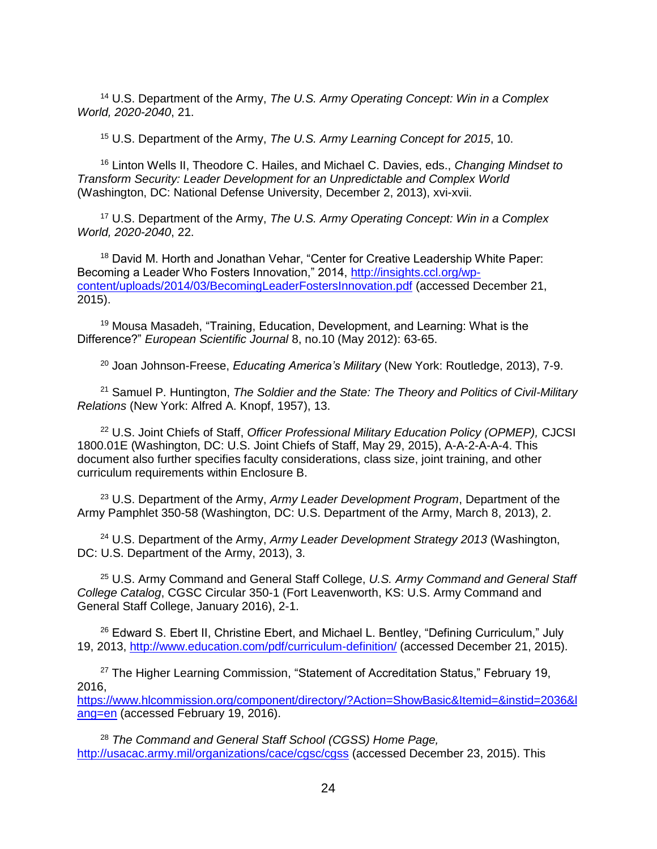<sup>14</sup> U.S. Department of the Army, *The U.S. Army Operating Concept: Win in a Complex World, 2020-2040*, 21.

<sup>15</sup> U.S. Department of the Army, *The U.S. Army Learning Concept for 2015*, 10.

<sup>16</sup> Linton Wells II, Theodore C. Hailes, and Michael C. Davies, eds., *Changing Mindset to Transform Security: Leader Development for an Unpredictable and Complex World* (Washington, DC: National Defense University, December 2, 2013), xvi-xvii.

<sup>17</sup> U.S. Department of the Army, *The U.S. Army Operating Concept: Win in a Complex World, 2020-2040*, 22.

<sup>18</sup> David M. Horth and Jonathan Vehar, "Center for Creative Leadership White Paper: Becoming a Leader Who Fosters Innovation," 2014, [http://insights.ccl.org/wp](http://insights.ccl.org/wp-content/uploads/2014/03/BecomingLeaderFostersInnovation.pdf)[content/uploads/2014/03/BecomingLeaderFostersInnovation.pdf](http://insights.ccl.org/wp-content/uploads/2014/03/BecomingLeaderFostersInnovation.pdf) (accessed December 21, 2015).

<sup>19</sup> Mousa Masadeh, "Training, Education, Development, and Learning: What is the Difference?" *European Scientific Journal* 8, no.10 (May 2012): 63-65.

<sup>20</sup> Joan Johnson-Freese, *Educating America's Military* (New York: Routledge, 2013), 7-9.

<sup>21</sup> Samuel P. Huntington, *The Soldier and the State: The Theory and Politics of Civil-Military Relations* (New York: Alfred A. Knopf, 1957), 13.

<sup>22</sup> U.S. Joint Chiefs of Staff, *Officer Professional Military Education Policy (OPMEP),* CJCSI 1800.01E (Washington, DC: U.S. Joint Chiefs of Staff, May 29, 2015), A-A-2-A-A-4. This document also further specifies faculty considerations, class size, joint training, and other curriculum requirements within Enclosure B.

<sup>23</sup> U.S. Department of the Army, *Army Leader Development Program*, Department of the Army Pamphlet 350-58 (Washington, DC: U.S. Department of the Army, March 8, 2013), 2.

<sup>24</sup> U.S. Department of the Army, *Army Leader Development Strategy 2013* (Washington, DC: U.S. Department of the Army, 2013), 3.

<sup>25</sup> U.S. Army Command and General Staff College, *U.S. Army Command and General Staff College Catalog*, CGSC Circular 350-1 (Fort Leavenworth, KS: U.S. Army Command and General Staff College, January 2016), 2-1.

 $26$  Edward S. Ebert II, Christine Ebert, and Michael L. Bentley, "Defining Curriculum," July 19, 2013,<http://www.education.com/pdf/curriculum-definition/> (accessed December 21, 2015).

<sup>27</sup> The Higher Learning Commission, "Statement of Accreditation Status," February 19, 2016,

[https://www.hlcommission.org/component/directory/?Action=ShowBasic&Itemid=&instid=2036&l](https://www.hlcommission.org/component/directory/?Action=ShowBasic&Itemid=&instid=2036&lang=en) [ang=en](https://www.hlcommission.org/component/directory/?Action=ShowBasic&Itemid=&instid=2036&lang=en) (accessed February 19, 2016).

<sup>28</sup> *The Command and General Staff School (CGSS) Home Page,* <http://usacac.army.mil/organizations/cace/cgsc/cgss> (accessed December 23, 2015). This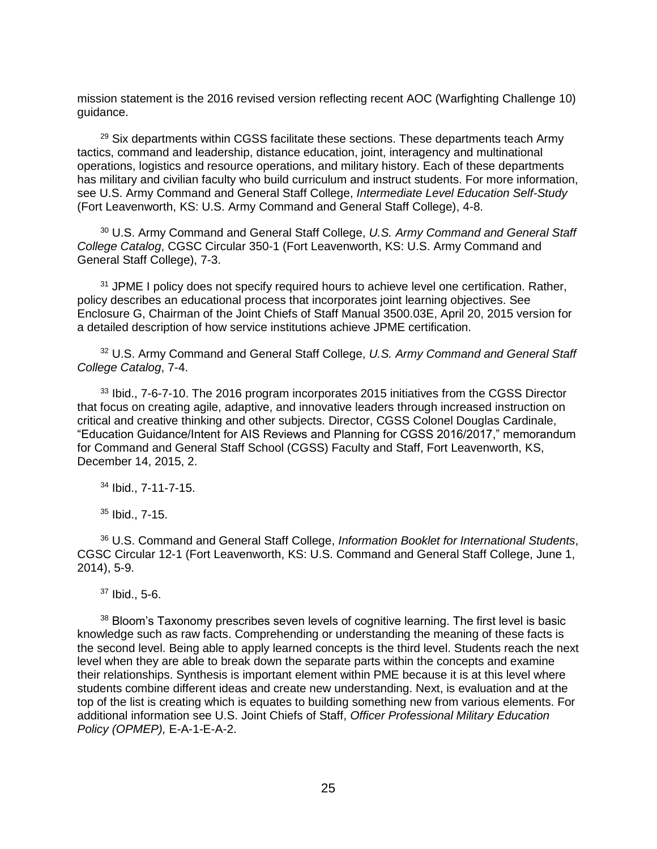mission statement is the 2016 revised version reflecting recent AOC (Warfighting Challenge 10) guidance.

 $29$  Six departments within CGSS facilitate these sections. These departments teach Army tactics, command and leadership, distance education, joint, interagency and multinational operations, logistics and resource operations, and military history. Each of these departments has military and civilian faculty who build curriculum and instruct students. For more information, see U.S. Army Command and General Staff College, *Intermediate Level Education Self-Study* (Fort Leavenworth, KS: U.S. Army Command and General Staff College), 4-8.

<sup>30</sup> U.S. Army Command and General Staff College, *U.S. Army Command and General Staff College Catalog*, CGSC Circular 350-1 (Fort Leavenworth, KS: U.S. Army Command and General Staff College), 7-3.

<sup>31</sup> JPME I policy does not specify required hours to achieve level one certification. Rather, policy describes an educational process that incorporates joint learning objectives. See Enclosure G, Chairman of the Joint Chiefs of Staff Manual 3500.03E, April 20, 2015 version for a detailed description of how service institutions achieve JPME certification.

<sup>32</sup> U.S. Army Command and General Staff College, *U.S. Army Command and General Staff College Catalog*, 7-4.

 $33$  Ibid., 7-6-7-10. The 2016 program incorporates 2015 initiatives from the CGSS Director that focus on creating agile, adaptive, and innovative leaders through increased instruction on critical and creative thinking and other subjects. Director, CGSS Colonel Douglas Cardinale, "Education Guidance/Intent for AIS Reviews and Planning for CGSS 2016/2017," memorandum for Command and General Staff School (CGSS) Faculty and Staff, Fort Leavenworth, KS, December 14, 2015, 2.

<sup>34</sup> Ibid., 7-11-7-15.

<sup>35</sup> Ibid., 7-15.

<sup>36</sup> U.S. Command and General Staff College, *Information Booklet for International Students*, CGSC Circular 12-1 (Fort Leavenworth, KS: U.S. Command and General Staff College, June 1, 2014), 5-9.

 $37$  Ibid., 5-6.

<sup>38</sup> Bloom's Taxonomy prescribes seven levels of cognitive learning. The first level is basic knowledge such as raw facts. Comprehending or understanding the meaning of these facts is the second level. Being able to apply learned concepts is the third level. Students reach the next level when they are able to break down the separate parts within the concepts and examine their relationships. Synthesis is important element within PME because it is at this level where students combine different ideas and create new understanding. Next, is evaluation and at the top of the list is creating which is equates to building something new from various elements. For additional information see U.S. Joint Chiefs of Staff, *Officer Professional Military Education Policy (OPMEP),* E-A-1-E-A-2.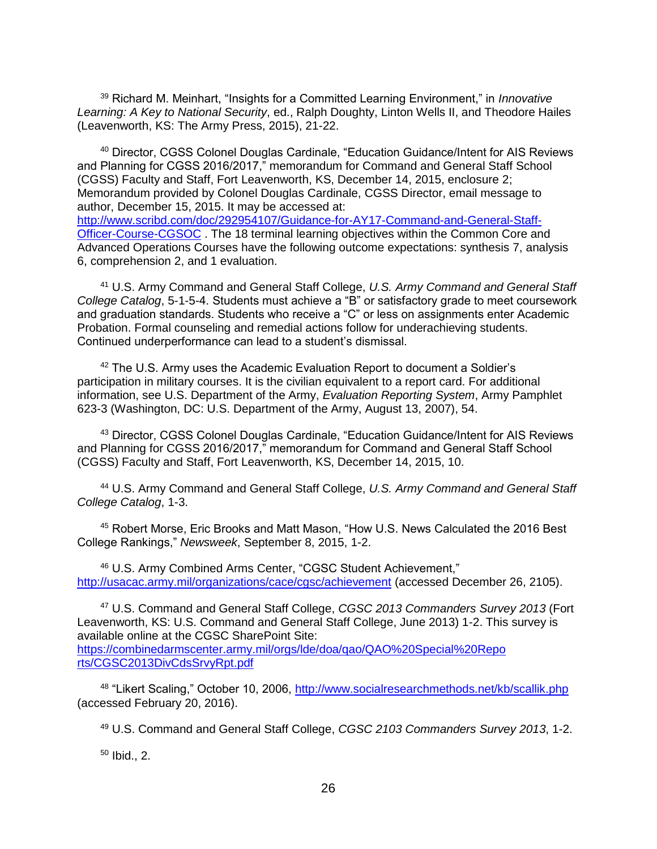<sup>39</sup> Richard M. Meinhart, "Insights for a Committed Learning Environment," in *Innovative Learning: A Key to National Security*, ed., Ralph Doughty, Linton Wells II, and Theodore Hailes (Leavenworth, KS: The Army Press, 2015), 21-22.

<sup>40</sup> Director, CGSS Colonel Douglas Cardinale, "Education Guidance/Intent for AIS Reviews and Planning for CGSS 2016/2017," memorandum for Command and General Staff School (CGSS) Faculty and Staff, Fort Leavenworth, KS, December 14, 2015, enclosure 2; Memorandum provided by Colonel Douglas Cardinale, CGSS Director, email message to author, December 15, 2015. It may be accessed at: [http://www.scribd.com/doc/292954107/Guidance-for-AY17-Command-and-General-Staff-](http://www.scribd.com/doc/292954107/Guidance-for-AY17-Command-and-General-Staff-Officer-Course-CGSOC)[Officer-Course-CGSOC](http://www.scribd.com/doc/292954107/Guidance-for-AY17-Command-and-General-Staff-Officer-Course-CGSOC) . The 18 terminal learning objectives within the Common Core and Advanced Operations Courses have the following outcome expectations: synthesis 7, analysis 6, comprehension 2, and 1 evaluation.

<sup>41</sup> U.S. Army Command and General Staff College, *U.S. Army Command and General Staff College Catalog*, 5-1-5-4. Students must achieve a "B" or satisfactory grade to meet coursework and graduation standards. Students who receive a "C" or less on assignments enter Academic Probation. Formal counseling and remedial actions follow for underachieving students. Continued underperformance can lead to a student's dismissal.

<sup>42</sup> The U.S. Army uses the Academic Evaluation Report to document a Soldier's participation in military courses. It is the civilian equivalent to a report card. For additional information, see U.S. Department of the Army, *Evaluation Reporting System*, Army Pamphlet 623-3 (Washington, DC: U.S. Department of the Army, August 13, 2007), 54.

<sup>43</sup> Director, CGSS Colonel Douglas Cardinale, "Education Guidance/Intent for AIS Reviews and Planning for CGSS 2016/2017," memorandum for Command and General Staff School (CGSS) Faculty and Staff, Fort Leavenworth, KS, December 14, 2015, 10.

<sup>44</sup> U.S. Army Command and General Staff College, *U.S. Army Command and General Staff College Catalog*, 1-3.

<sup>45</sup> Robert Morse, Eric Brooks and Matt Mason, "How U.S. News Calculated the 2016 Best College Rankings," *Newsweek*, September 8, 2015, 1-2.

<sup>46</sup> U.S. Army Combined Arms Center, "CGSC Student Achievement," <http://usacac.army.mil/organizations/cace/cgsc/achievement> (accessed December 26, 2105).

<sup>47</sup> U.S. Command and General Staff College, *CGSC 2013 Commanders Survey 2013* (Fort Leavenworth, KS: U.S. Command and General Staff College, June 2013) 1-2. This survey is available online at the CGSC SharePoint Site: [https://combinedarmscenter.army.mil/orgs/lde/doa/qao/QAO%20Special%20Repo](https://combinedarmscenter.army.mil/orgs/lde/doa/qao/QAO%20Special%20Repo%20rts/CGSC2013DivCdsSrvyRpt.pdf)  [rts/CGSC2013DivCdsSrvyRpt.pdf](https://combinedarmscenter.army.mil/orgs/lde/doa/qao/QAO%20Special%20Repo%20rts/CGSC2013DivCdsSrvyRpt.pdf)

<sup>48</sup> "Likert Scaling," October 10, 2006,<http://www.socialresearchmethods.net/kb/scallik.php> (accessed February 20, 2016).

<sup>49</sup> U.S. Command and General Staff College, *CGSC 2103 Commanders Survey 2013*, 1-2.

 $50$  Ibid., 2.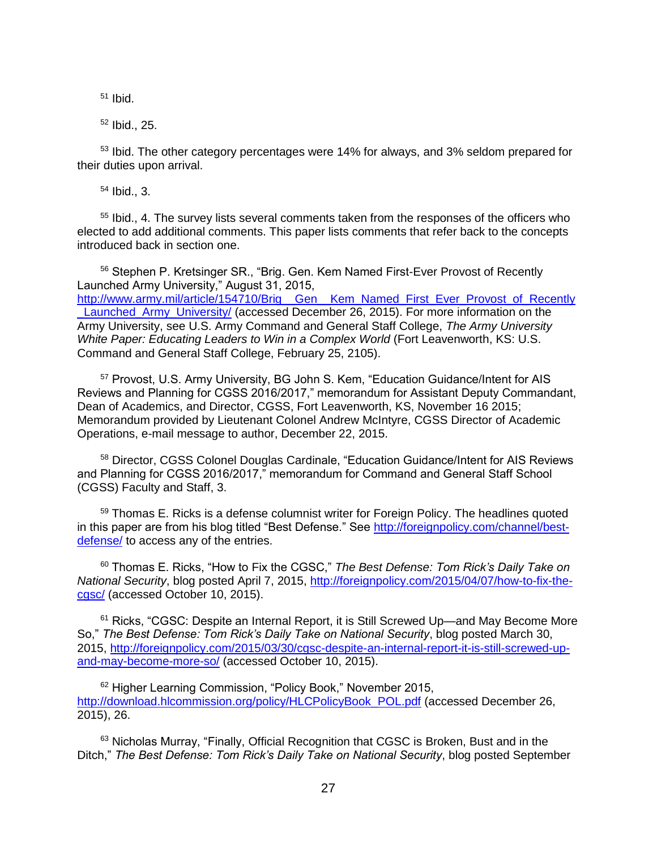$51$  Ibid.

 $52$  Ibid., 25.

<sup>53</sup> Ibid. The other category percentages were 14% for always, and 3% seldom prepared for their duties upon arrival.

<sup>54</sup> Ibid., 3.

<sup>55</sup> Ibid., 4. The survey lists several comments taken from the responses of the officers who elected to add additional comments. This paper lists comments that refer back to the concepts introduced back in section one.

<sup>56</sup> Stephen P. Kretsinger SR., "Brig. Gen. Kem Named First-Ever Provost of Recently Launched Army University," August 31, 2015, [http://www.army.mil/article/154710/Brig\\_\\_Gen\\_\\_Kem\\_Named\\_First\\_Ever\\_Provost\\_of\\_Recently](http://www.army.mil/article/154710/Brig__Gen__Kem_Named_First_Ever_Provost_of_Recently_Launched_Army_University/) Launched\_Army\_University/ (accessed December 26, 2015). For more information on the Army University, see U.S. Army Command and General Staff College, *The Army University White Paper: Educating Leaders to Win in a Complex World* (Fort Leavenworth, KS: U.S. Command and General Staff College, February 25, 2105).

<sup>57</sup> Provost, U.S. Army University, BG John S. Kem, "Education Guidance/Intent for AIS Reviews and Planning for CGSS 2016/2017," memorandum for Assistant Deputy Commandant, Dean of Academics, and Director, CGSS, Fort Leavenworth, KS, November 16 2015; Memorandum provided by Lieutenant Colonel Andrew McIntyre, CGSS Director of Academic Operations, e-mail message to author, December 22, 2015.

<sup>58</sup> Director, CGSS Colonel Douglas Cardinale, "Education Guidance/Intent for AIS Reviews and Planning for CGSS 2016/2017," memorandum for Command and General Staff School (CGSS) Faculty and Staff, 3.

<sup>59</sup> Thomas E. Ricks is a defense columnist writer for Foreign Policy. The headlines quoted in this paper are from his blog titled "Best Defense." See [http://foreignpolicy.com/channel/best](http://foreignpolicy.com/channel/best-defense/)[defense/](http://foreignpolicy.com/channel/best-defense/) to access any of the entries.

<sup>60</sup> Thomas E. Ricks, "How to Fix the CGSC," *The Best Defense: Tom Rick's Daily Take on National Security*, blog posted April 7, 2015, [http://foreignpolicy.com/2015/04/07/how-to-fix-the](http://foreignpolicy.com/2015/04/07/how-to-fix-the-cgsc/)[cgsc/](http://foreignpolicy.com/2015/04/07/how-to-fix-the-cgsc/) (accessed October 10, 2015).

 $61$  Ricks, "CGSC: Despite an Internal Report, it is Still Screwed Up—and May Become More So," *The Best Defense: Tom Rick's Daily Take on National Security*, blog posted March 30, 2015, [http://foreignpolicy.com/2015/03/30/cgsc-despite-an-internal-report-it-is-still-screwed-up](http://foreignpolicy.com/2015/03/30/cgsc-despite-an-internal-report-it-is-still-screwed-up-and-may-become-more-so/)[and-may-become-more-so/](http://foreignpolicy.com/2015/03/30/cgsc-despite-an-internal-report-it-is-still-screwed-up-and-may-become-more-so/) (accessed October 10, 2015).

<sup>62</sup> Higher Learning Commission, "Policy Book," November 2015, [http://download.hlcommission.org/policy/HLCPolicyBook\\_POL.pdf](http://download.hlcommission.org/policy/HLCPolicyBook_POL.pdf) (accessed December 26, 2015), 26.

<sup>63</sup> Nicholas Murray, "Finally, Official Recognition that CGSC is Broken, Bust and in the Ditch," *The Best Defense: Tom Rick's Daily Take on National Security*, blog posted September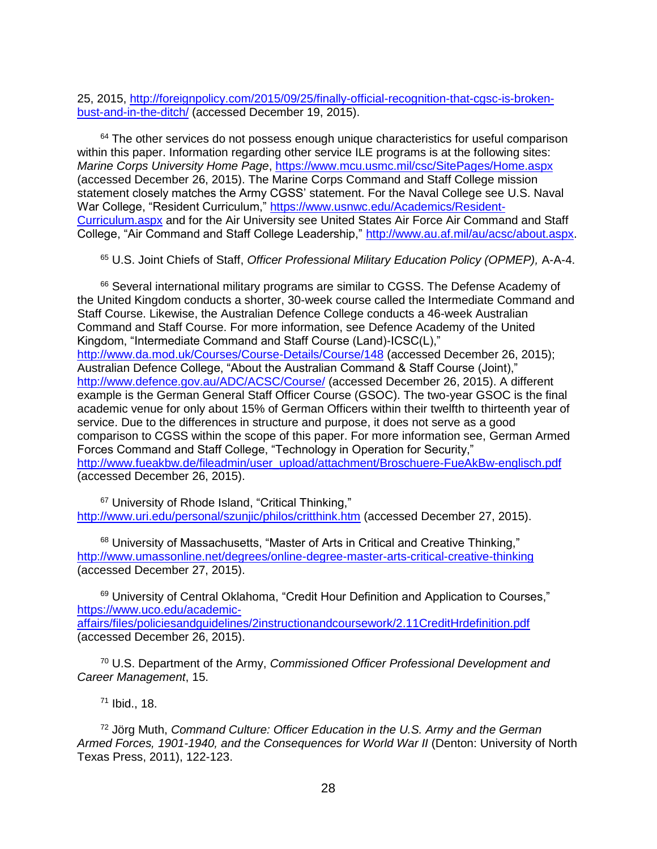25, 2015, [http://foreignpolicy.com/2015/09/25/finally-official-recognition-that-cgsc-is-broken](http://foreignpolicy.com/2015/09/25/finally-official-recognition-that-cgsc-is-broken-bust-and-in-the-ditch/)[bust-and-in-the-ditch/](http://foreignpolicy.com/2015/09/25/finally-official-recognition-that-cgsc-is-broken-bust-and-in-the-ditch/) (accessed December 19, 2015).

 $64$  The other services do not possess enough unique characteristics for useful comparison within this paper. Information regarding other service ILE programs is at the following sites: *Marine Corps University Home Page*,<https://www.mcu.usmc.mil/csc/SitePages/Home.aspx> (accessed December 26, 2015). The Marine Corps Command and Staff College mission statement closely matches the Army CGSS' statement. For the Naval College see U.S. Naval War College, "Resident Curriculum," [https://www.usnwc.edu/Academics/Resident-](https://www.usnwc.edu/Academics/Resident-Curriculum.aspx)[Curriculum.aspx](https://www.usnwc.edu/Academics/Resident-Curriculum.aspx) and for the Air University see United States Air Force Air Command and Staff College, "Air Command and Staff College Leadership," [http://www.au.af.mil/au/acsc/about.aspx.](http://www.au.af.mil/au/acsc/about.aspx)

<sup>65</sup> U.S. Joint Chiefs of Staff, *Officer Professional Military Education Policy (OPMEP),* A-A-4.

 $66$  Several international military programs are similar to CGSS. The Defense Academy of the United Kingdom conducts a shorter, 30-week course called the Intermediate Command and Staff Course. Likewise, the Australian Defence College conducts a 46-week Australian Command and Staff Course. For more information, see Defence Academy of the United Kingdom, "Intermediate Command and Staff Course (Land)-ICSC(L)," <http://www.da.mod.uk/Courses/Course-Details/Course/148> (accessed December 26, 2015); Australian Defence College, "About the Australian Command & Staff Course (Joint)," <http://www.defence.gov.au/ADC/ACSC/Course/> (accessed December 26, 2015). A different example is the German General Staff Officer Course (GSOC). The two-year GSOC is the final academic venue for only about 15% of German Officers within their twelfth to thirteenth year of service. Due to the differences in structure and purpose, it does not serve as a good comparison to CGSS within the scope of this paper. For more information see, German Armed Forces Command and Staff College, "Technology in Operation for Security," [http://www.fueakbw.de/fileadmin/user\\_upload/attachment/Broschuere-FueAkBw-englisch.pdf](http://www.fueakbw.de/fileadmin/user_upload/attachment/Broschuere-FueAkBw-englisch.pdf) (accessed December 26, 2015).

<sup>67</sup> University of Rhode Island, "Critical Thinking," <http://www.uri.edu/personal/szunjic/philos/critthink.htm> (accessed December 27, 2015).

<sup>68</sup> University of Massachusetts, "Master of Arts in Critical and Creative Thinking," <http://www.umassonline.net/degrees/online-degree-master-arts-critical-creative-thinking> (accessed December 27, 2015).

<sup>69</sup> University of Central Oklahoma, "Credit Hour Definition and Application to Courses," [https://www.uco.edu/academic](https://www.uco.edu/academic-affairs/files/policiesandguidelines/2instructionandcoursework/2.11CreditHrdefinition.pdf)[affairs/files/policiesandguidelines/2instructionandcoursework/2.11CreditHrdefinition.pdf](https://www.uco.edu/academic-affairs/files/policiesandguidelines/2instructionandcoursework/2.11CreditHrdefinition.pdf) (accessed December 26, 2015).

<sup>70</sup> U.S. Department of the Army, *Commissioned Officer Professional Development and Career Management*, 15.

<sup>71</sup> Ibid., 18.

<sup>72</sup> Jörg Muth, *Command Culture: Officer Education in the U.S. Army and the German Armed Forces, 1901-1940, and the Consequences for World War II* (Denton: University of North Texas Press, 2011), 122-123.